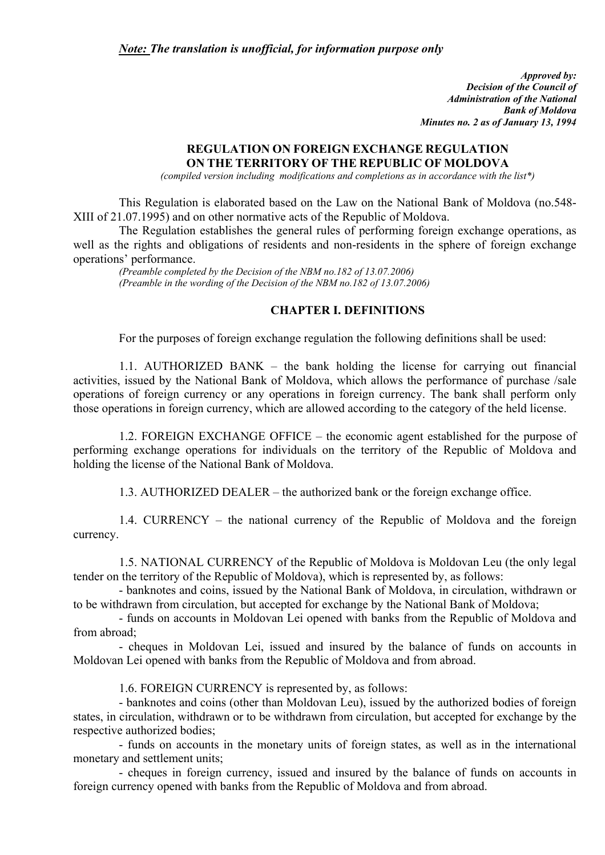*Approved by: Decision of the Council of Administration of the National Bank of Moldova Minutes no. 2 as of January 13, 1994* 

# **REGULATION ON FOREIGN EXCHANGE REGULATION ON THE TERRITORY OF THE REPUBLIC OF MOLDOVA**

*(compiled version including modifications and completions as in accordance with the list\*)* 

This Regulation is elaborated based on the Law on the National Bank of Moldova (no.548- XIII of 21.07.1995) and on other normative acts of the Republic of Moldova.

The Regulation establishes the general rules of performing foreign exchange operations, as well as the rights and obligations of residents and non-residents in the sphere of foreign exchange operations' performance.

*(Preamble completed by the Decision of the NBM no.182 of 13.07.2006) (Preamble in the wording of the Decision of the NBM no.182 of 13.07.2006)* 

# **CHAPTER I. DEFINITIONS**

For the purposes of foreign exchange regulation the following definitions shall be used:

1.1. AUTHORIZED BANK – the bank holding the license for carrying out financial activities, issued by the National Bank of Moldova, which allows the performance of purchase /sale operations of foreign currency or any operations in foreign currency. The bank shall perform only those operations in foreign currency, which are allowed according to the category of the held license.

1.2. FOREIGN EXCHANGE OFFICE – the economic agent established for the purpose of performing exchange operations for individuals on the territory of the Republic of Moldova and holding the license of the National Bank of Moldova.

1.3. AUTHORIZED DEALER – the authorized bank or the foreign exchange office.

1.4. CURRENCY – the national currency of the Republic of Moldova and the foreign currency.

1.5. NATIONAL CURRENCY of the Republic of Moldova is Moldovan Leu (the only legal tender on the territory of the Republic of Moldova), which is represented by, as follows:

- banknotes and coins, issued by the National Bank of Moldova, in circulation, withdrawn or to be withdrawn from circulation, but accepted for exchange by the National Bank of Moldova;

- funds on accounts in Moldovan Lei opened with banks from the Republic of Moldova and from abroad;

- cheques in Moldovan Lei, issued and insured by the balance of funds on accounts in Moldovan Lei opened with banks from the Republic of Moldova and from abroad.

1.6. FOREIGN CURRENCY is represented by, as follows:

- banknotes and coins (other than Moldovan Leu), issued by the authorized bodies of foreign states, in circulation, withdrawn or to be withdrawn from circulation, but accepted for exchange by the respective authorized bodies;

- funds on accounts in the monetary units of foreign states, as well as in the international monetary and settlement units;

- cheques in foreign currency, issued and insured by the balance of funds on accounts in foreign currency opened with banks from the Republic of Moldova and from abroad.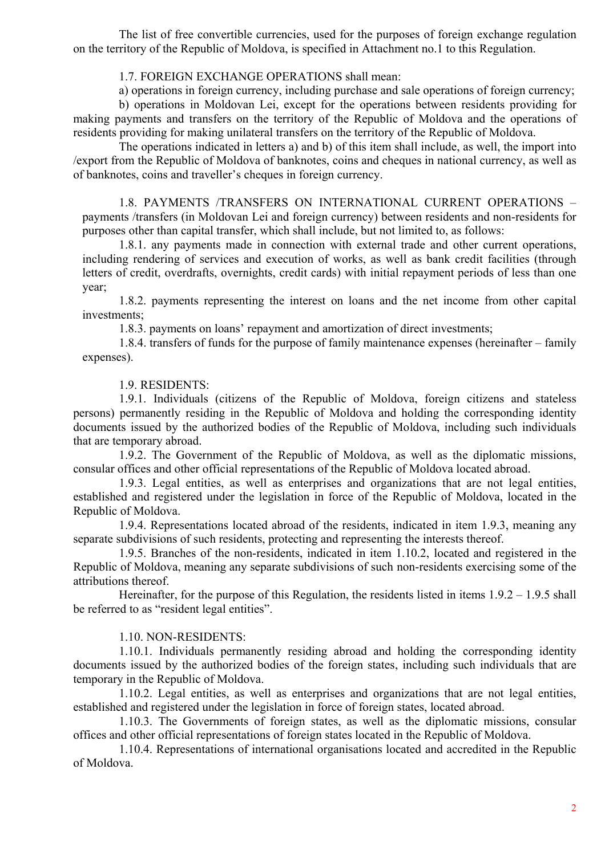The list of free convertible currencies, used for the purposes of foreign exchange regulation on the territory of the Republic of Moldova, is specified in Attachment no.1 to this Regulation.

#### 1.7. FOREIGN EXCHANGE OPERATIONS shall mean:

a) operations in foreign currency, including purchase and sale operations of foreign currency;

b) operations in Moldovan Lei, except for the operations between residents providing for making payments and transfers on the territory of the Republic of Moldova and the operations of residents providing for making unilateral transfers on the territory of the Republic of Moldova.

The operations indicated in letters a) and b) of this item shall include, as well, the import into /export from the Republic of Moldova of banknotes, coins and cheques in national currency, as well as of banknotes, coins and traveller's cheques in foreign currency.

1.8. PAYMENTS /TRANSFERS ON INTERNATIONAL CURRENT OPERATIONS – payments /transfers (in Moldovan Lei and foreign currency) between residents and non-residents for purposes other than capital transfer, which shall include, but not limited to, as follows:

1.8.1. any payments made in connection with external trade and other current operations, including rendering of services and execution of works, as well as bank credit facilities (through letters of credit, overdrafts, overnights, credit cards) with initial repayment periods of less than one year;

1.8.2. payments representing the interest on loans and the net income from other capital investments;

1.8.3. payments on loans' repayment and amortization of direct investments;

1.8.4. transfers of funds for the purpose of family maintenance expenses (hereinafter – family expenses).

1.9. RESIDENTS:

1.9.1. Individuals (citizens of the Republic of Moldova, foreign citizens and stateless persons) permanently residing in the Republic of Moldova and holding the corresponding identity documents issued by the authorized bodies of the Republic of Moldova, including such individuals that are temporary abroad.

1.9.2. The Government of the Republic of Moldova, as well as the diplomatic missions, consular offices and other official representations of the Republic of Moldova located abroad.

1.9.3. Legal entities, as well as enterprises and organizations that are not legal entities, established and registered under the legislation in force of the Republic of Moldova, located in the Republic of Moldova.

1.9.4. Representations located abroad of the residents, indicated in item 1.9.3, meaning any separate subdivisions of such residents, protecting and representing the interests thereof.

1.9.5. Branches of the non-residents, indicated in item 1.10.2, located and registered in the Republic of Moldova, meaning any separate subdivisions of such non-residents exercising some of the attributions thereof.

Hereinafter, for the purpose of this Regulation, the residents listed in items  $1.9.2 - 1.9.5$  shall be referred to as "resident legal entities".

1.10. NON-RESIDENTS:

1.10.1. Individuals permanently residing abroad and holding the corresponding identity documents issued by the authorized bodies of the foreign states, including such individuals that are temporary in the Republic of Moldova.

1.10.2. Legal entities, as well as enterprises and organizations that are not legal entities, established and registered under the legislation in force of foreign states, located abroad.

1.10.3. The Governments of foreign states, as well as the diplomatic missions, consular offices and other official representations of foreign states located in the Republic of Moldova.

1.10.4. Representations of international organisations located and accredited in the Republic of Moldova.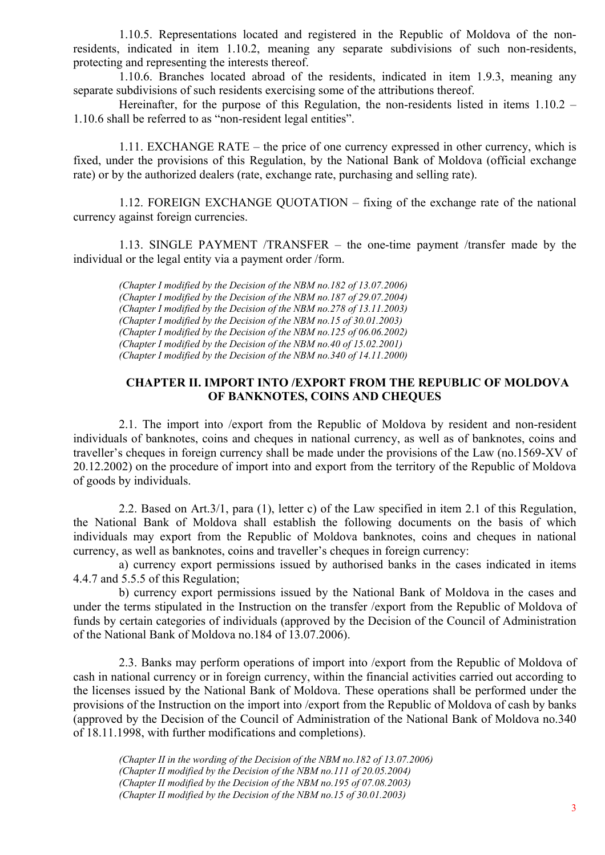1.10.5. Representations located and registered in the Republic of Moldova of the nonresidents, indicated in item 1.10.2, meaning any separate subdivisions of such non-residents, protecting and representing the interests thereof.

1.10.6. Branches located abroad of the residents, indicated in item 1.9.3, meaning any separate subdivisions of such residents exercising some of the attributions thereof.

Hereinafter, for the purpose of this Regulation, the non-residents listed in items  $1.10.2 -$ 1.10.6 shall be referred to as "non-resident legal entities".

1.11. EXCHANGE RATE – the price of one currency expressed in other currency, which is fixed, under the provisions of this Regulation, by the National Bank of Moldova (official exchange rate) or by the authorized dealers (rate, exchange rate, purchasing and selling rate).

1.12. FOREIGN EXCHANGE QUOTATION – fixing of the exchange rate of the national currency against foreign currencies.

1.13. SINGLE PAYMENT /TRANSFER – the one-time payment /transfer made by the individual or the legal entity via a payment order /form.

*(Chapter I modified by the Decision of the NBM no.182 of 13.07.2006) (Chapter I modified by the Decision of the NBM no.187 of 29.07.2004) (Chapter I modified by the Decision of the NBM no.278 of 13.11.2003) (Chapter I modified by the Decision of the NBM no.15 of 30.01.2003) (Chapter I modified by the Decision of the NBM no.125 of 06.06.2002) (Chapter I modified by the Decision of the NBM no.40 of 15.02.2001) (Chapter I modified by the Decision of the NBM no.340 of 14.11.2000)*

# **CHAPTER II. IMPORT INTO /EXPORT FROM THE REPUBLIC OF MOLDOVA OF BANKNOTES, COINS AND CHEQUES**

2.1. The import into /export from the Republic of Moldova by resident and non-resident individuals of banknotes, coins and cheques in national currency, as well as of banknotes, coins and traveller's cheques in foreign currency shall be made under the provisions of the Law (no.1569-XV of 20.12.2002) on the procedure of import into and export from the territory of the Republic of Moldova of goods by individuals.

2.2. Based on Art.3/1, para (1), letter c) of the Law specified in item 2.1 of this Regulation, the National Bank of Moldova shall establish the following documents on the basis of which individuals may export from the Republic of Moldova banknotes, coins and cheques in national currency, as well as banknotes, coins and traveller's cheques in foreign currency:

a) currency export permissions issued by authorised banks in the cases indicated in items 4.4.7 and 5.5.5 of this Regulation;

b) currency export permissions issued by the National Bank of Moldova in the cases and under the terms stipulated in the Instruction on the transfer /export from the Republic of Moldova of funds by certain categories of individuals (approved by the Decision of the Council of Administration of the National Bank of Moldova no.184 of 13.07.2006).

2.3. Banks may perform operations of import into /export from the Republic of Moldova of cash in national currency or in foreign currency, within the financial activities carried out according to the licenses issued by the National Bank of Moldova. These operations shall be performed under the provisions of the Instruction on the import into /export from the Republic of Moldova of cash by banks (approved by the Decision of the Council of Administration of the National Bank of Moldova no.340 of 18.11.1998, with further modifications and completions).

*(Chapter II in the wording of the Decision of the NBM no.182 of 13.07.2006) (Chapter II modified by the Decision of the NBM no.111 of 20.05.2004) (Chapter II modified by the Decision of the NBM no.195 of 07.08.2003) (Chapter II modified by the Decision of the NBM no.15 of 30.01.2003)*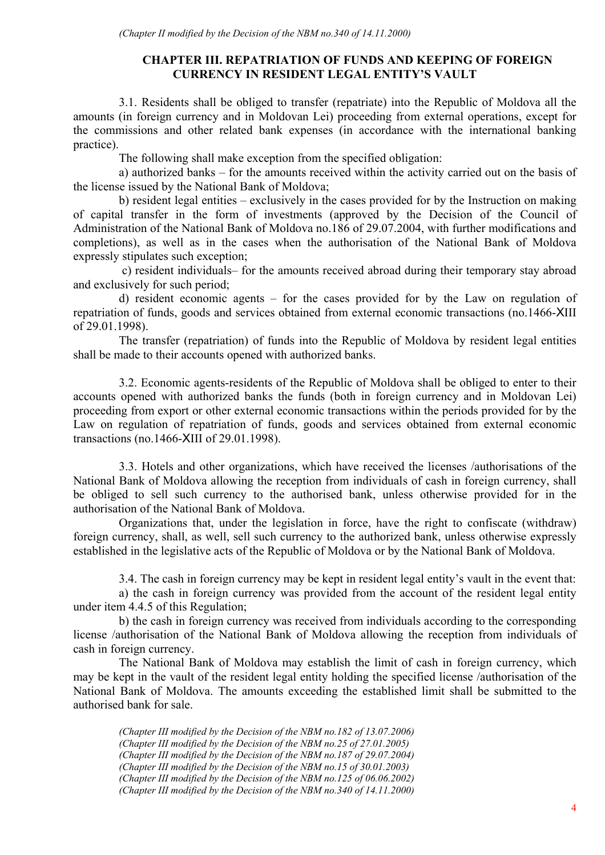# **CHAPTER III. REPATRIATION OF FUNDS AND KEEPING OF FOREIGN CURRENCY IN RESIDENT LEGAL ENTITY'S VAULT**

3.1. Residents shall be obliged to transfer (repatriate) into the Republic of Moldova all the amounts (in foreign currency and in Moldovan Lei) proceeding from external operations, except for the commissions and other related bank expenses (in accordance with the international banking practice).

The following shall make exception from the specified obligation:

a) authorized banks – for the amounts received within the activity carried out on the basis of the license issued by the National Bank of Moldova;

b) resident legal entities – exclusively in the cases provided for by the Instruction on making of capital transfer in the form of investments (approved by the Decision of the Council of Administration of the National Bank of Moldova no.186 of 29.07.2004, with further modifications and completions), as well as in the cases when the authorisation of the National Bank of Moldova expressly stipulates such exception;

 c) resident individuals– for the amounts received abroad during their temporary stay abroad and exclusively for such period;

d) resident economic agents – for the cases provided for by the Law on regulation of repatriation of funds, goods and services obtained from external economic transactions (no.1466-XIII of 29.01.1998).

The transfer (repatriation) of funds into the Republic of Moldova by resident legal entities shall be made to their accounts opened with authorized banks.

3.2. Economic agents-residents of the Republic of Moldova shall be obliged to enter to their accounts opened with authorized banks the funds (both in foreign currency and in Moldovan Lei) proceeding from export or other external economic transactions within the periods provided for by the Law on regulation of repatriation of funds, goods and services obtained from external economic transactions (no.1466-XIII of 29.01.1998).

3.3. Hotels and other organizations, which have received the licenses /authorisations of the National Bank of Moldova allowing the reception from individuals of cash in foreign currency, shall be obliged to sell such currency to the authorised bank, unless otherwise provided for in the authorisation of the National Bank of Moldova.

Organizations that, under the legislation in force, have the right to confiscate (withdraw) foreign currency, shall, as well, sell such currency to the authorized bank, unless otherwise expressly established in the legislative acts of the Republic of Moldova or by the National Bank of Moldova.

3.4. The cash in foreign currency may be kept in resident legal entity's vault in the event that:

a) the cash in foreign currency was provided from the account of the resident legal entity under item 4.4.5 of this Regulation;

b) the cash in foreign currency was received from individuals according to the corresponding license /authorisation of the National Bank of Moldova allowing the reception from individuals of cash in foreign currency.

The National Bank of Moldova may establish the limit of cash in foreign currency, which may be kept in the vault of the resident legal entity holding the specified license /authorisation of the National Bank of Moldova. The amounts exceeding the established limit shall be submitted to the authorised bank for sale.

*(Chapter III modified by the Decision of the NBM no.182 of 13.07.2006) (Chapter III modified by the Decision of the NBM no.25 of 27.01.2005) (Chapter III modified by the Decision of the NBM no.187 of 29.07.2004) (Chapter III modified by the Decision of the NBM no.15 of 30.01.2003) (Chapter III modified by the Decision of the NBM no.125 of 06.06.2002) (Chapter III modified by the Decision of the NBM no.340 of 14.11.2000)*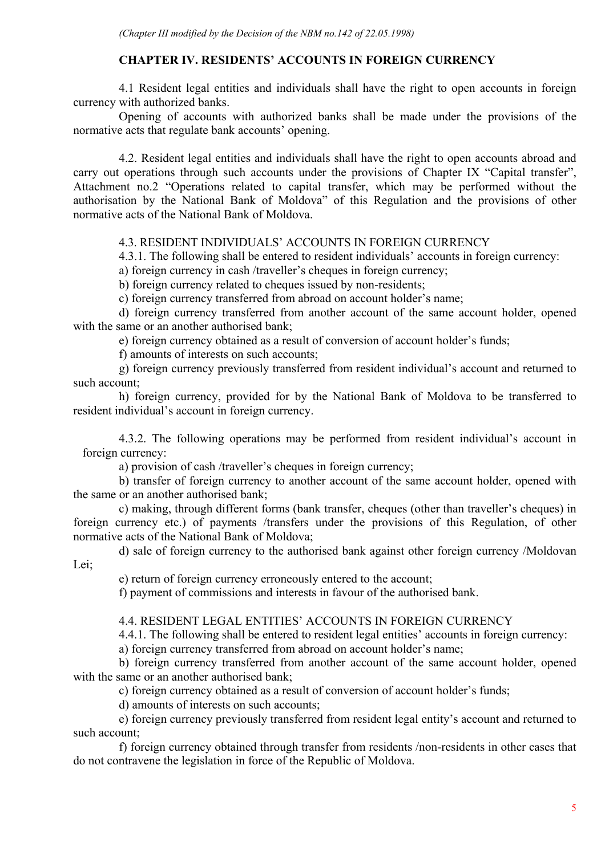# **CHAPTER IV. RESIDENTS' ACCOUNTS IN FOREIGN CURRENCY**

4.1 Resident legal entities and individuals shall have the right to open accounts in foreign currency with authorized banks.

Opening of accounts with authorized banks shall be made under the provisions of the normative acts that regulate bank accounts' opening.

4.2. Resident legal entities and individuals shall have the right to open accounts abroad and carry out operations through such accounts under the provisions of Chapter IX "Capital transfer", Attachment no.2 "Operations related to capital transfer, which may be performed without the authorisation by the National Bank of Moldova" of this Regulation and the provisions of other normative acts of the National Bank of Moldova.

# 4.3. RESIDENT INDIVIDUALS' ACCOUNTS IN FOREIGN CURRENCY

4.3.1. The following shall be entered to resident individuals' accounts in foreign currency:

a) foreign currency in cash /traveller's cheques in foreign currency;

b) foreign currency related to cheques issued by non-residents;

c) foreign currency transferred from abroad on account holder's name;

d) foreign currency transferred from another account of the same account holder, opened with the same or an another authorised bank;

e) foreign currency obtained as a result of conversion of account holder's funds;

f) amounts of interests on such accounts;

g) foreign currency previously transferred from resident individual's account and returned to such account;

h) foreign currency, provided for by the National Bank of Moldova to be transferred to resident individual's account in foreign currency.

4.3.2. The following operations may be performed from resident individual's account in foreign currency:

a) provision of cash /traveller's cheques in foreign currency;

b) transfer of foreign currency to another account of the same account holder, opened with the same or an another authorised bank;

c) making, through different forms (bank transfer, cheques (other than traveller's cheques) in foreign currency etc.) of payments /transfers under the provisions of this Regulation, of other normative acts of the National Bank of Moldova;

d) sale of foreign currency to the authorised bank against other foreign currency /Moldovan Lei;

e) return of foreign currency erroneously entered to the account;

f) payment of commissions and interests in favour of the authorised bank.

4.4. RESIDENT LEGAL ENTITIES' ACCOUNTS IN FOREIGN CURRENCY

4.4.1. The following shall be entered to resident legal entities' accounts in foreign currency:

a) foreign currency transferred from abroad on account holder's name;

b) foreign currency transferred from another account of the same account holder, opened with the same or an another authorised bank;

c) foreign currency obtained as a result of conversion of account holder's funds;

d) amounts of interests on such accounts;

e) foreign currency previously transferred from resident legal entity's account and returned to such account;

f) foreign currency obtained through transfer from residents /non-residents in other cases that do not contravene the legislation in force of the Republic of Moldova.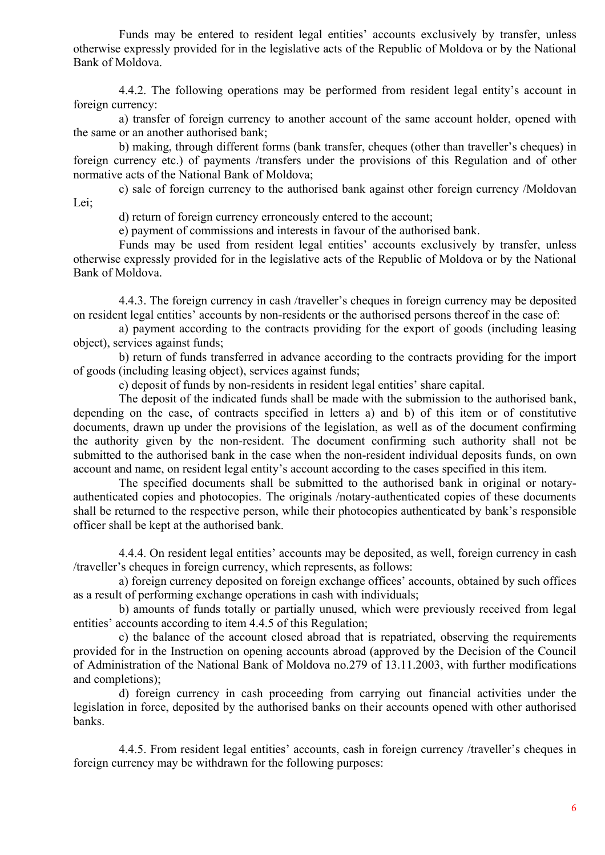Funds may be entered to resident legal entities' accounts exclusively by transfer, unless otherwise expressly provided for in the legislative acts of the Republic of Moldova or by the National Bank of Moldova.

4.4.2. The following operations may be performed from resident legal entity's account in foreign currency:

a) transfer of foreign currency to another account of the same account holder, opened with the same or an another authorised bank;

b) making, through different forms (bank transfer, cheques (other than traveller's cheques) in foreign currency etc.) of payments /transfers under the provisions of this Regulation and of other normative acts of the National Bank of Moldova;

c) sale of foreign currency to the authorised bank against other foreign currency /Moldovan Lei;

d) return of foreign currency erroneously entered to the account;

e) payment of commissions and interests in favour of the authorised bank.

Funds may be used from resident legal entities' accounts exclusively by transfer, unless otherwise expressly provided for in the legislative acts of the Republic of Moldova or by the National Bank of Moldova.

4.4.3. The foreign currency in cash /traveller's cheques in foreign currency may be deposited on resident legal entities' accounts by non-residents or the authorised persons thereof in the case of:

a) payment according to the contracts providing for the export of goods (including leasing object), services against funds;

b) return of funds transferred in advance according to the contracts providing for the import of goods (including leasing object), services against funds;

c) deposit of funds by non-residents in resident legal entities' share capital.

The deposit of the indicated funds shall be made with the submission to the authorised bank, depending on the case, of contracts specified in letters a) and b) of this item or of constitutive documents, drawn up under the provisions of the legislation, as well as of the document confirming the authority given by the non-resident. The document confirming such authority shall not be submitted to the authorised bank in the case when the non-resident individual deposits funds, on own account and name, on resident legal entity's account according to the cases specified in this item.

The specified documents shall be submitted to the authorised bank in original or notaryauthenticated copies and photocopies. The originals /notary-authenticated copies of these documents shall be returned to the respective person, while their photocopies authenticated by bank's responsible officer shall be kept at the authorised bank.

4.4.4. On resident legal entities' accounts may be deposited, as well, foreign currency in cash /traveller's cheques in foreign currency, which represents, as follows:

a) foreign currency deposited on foreign exchange offices' accounts, obtained by such offices as a result of performing exchange operations in cash with individuals;

b) amounts of funds totally or partially unused, which were previously received from legal entities' accounts according to item 4.4.5 of this Regulation;

c) the balance of the account closed abroad that is repatriated, observing the requirements provided for in the Instruction on opening accounts abroad (approved by the Decision of the Council of Administration of the National Bank of Moldova no.279 of 13.11.2003, with further modifications and completions);

d) foreign currency in cash proceeding from carrying out financial activities under the legislation in force, deposited by the authorised banks on their accounts opened with other authorised banks.

4.4.5. From resident legal entities' accounts, cash in foreign currency /traveller's cheques in foreign currency may be withdrawn for the following purposes: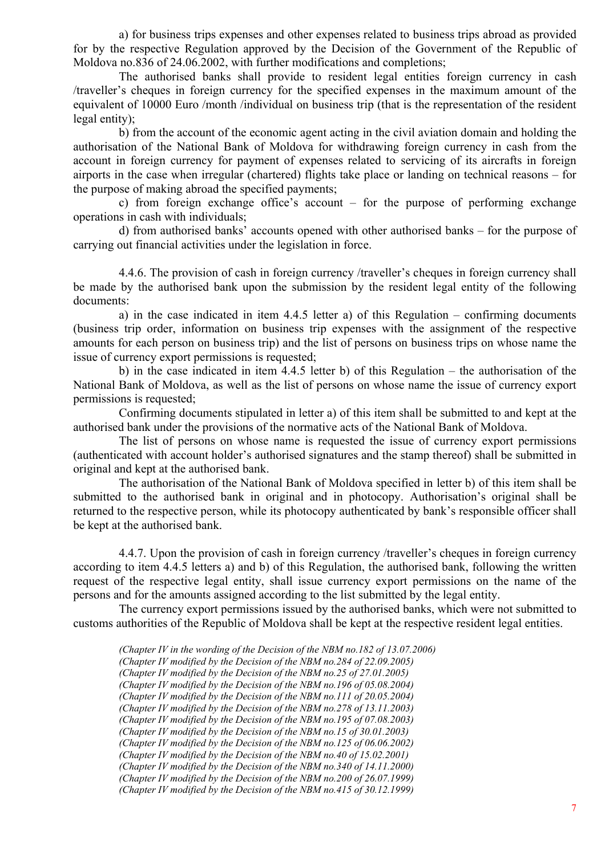a) for business trips expenses and other expenses related to business trips abroad as provided for by the respective Regulation approved by the Decision of the Government of the Republic of Moldova no.836 of 24.06.2002, with further modifications and completions;

The authorised banks shall provide to resident legal entities foreign currency in cash /traveller's cheques in foreign currency for the specified expenses in the maximum amount of the equivalent of 10000 Euro /month /individual on business trip (that is the representation of the resident legal entity);

b) from the account of the economic agent acting in the civil aviation domain and holding the authorisation of the National Bank of Moldova for withdrawing foreign currency in cash from the account in foreign currency for payment of expenses related to servicing of its aircrafts in foreign airports in the case when irregular (chartered) flights take place or landing on technical reasons – for the purpose of making abroad the specified payments;

c) from foreign exchange office's account – for the purpose of performing exchange operations in cash with individuals;

d) from authorised banks' accounts opened with other authorised banks – for the purpose of carrying out financial activities under the legislation in force.

4.4.6. The provision of cash in foreign currency /traveller's cheques in foreign currency shall be made by the authorised bank upon the submission by the resident legal entity of the following documents:

a) in the case indicated in item 4.4.5 letter a) of this Regulation – confirming documents (business trip order, information on business trip expenses with the assignment of the respective amounts for each person on business trip) and the list of persons on business trips on whose name the issue of currency export permissions is requested;

b) in the case indicated in item 4.4.5 letter b) of this Regulation – the authorisation of the National Bank of Moldova, as well as the list of persons on whose name the issue of currency export permissions is requested;

Confirming documents stipulated in letter a) of this item shall be submitted to and kept at the authorised bank under the provisions of the normative acts of the National Bank of Moldova.

The list of persons on whose name is requested the issue of currency export permissions (authenticated with account holder's authorised signatures and the stamp thereof) shall be submitted in original and kept at the authorised bank.

The authorisation of the National Bank of Moldova specified in letter b) of this item shall be submitted to the authorised bank in original and in photocopy. Authorisation's original shall be returned to the respective person, while its photocopy authenticated by bank's responsible officer shall be kept at the authorised bank.

4.4.7. Upon the provision of cash in foreign currency /traveller's cheques in foreign currency according to item 4.4.5 letters a) and b) of this Regulation, the authorised bank, following the written request of the respective legal entity, shall issue currency export permissions on the name of the persons and for the amounts assigned according to the list submitted by the legal entity.

The currency export permissions issued by the authorised banks, which were not submitted to customs authorities of the Republic of Moldova shall be kept at the respective resident legal entities.

*(Chapter IV in the wording of the Decision of the NBM no.182 of 13.07.2006) (Chapter IV modified by the Decision of the NBM no.284 of 22.09.2005) (Chapter IV modified by the Decision of the NBM no.25 of 27.01.2005) (Chapter IV modified by the Decision of the NBM no.196 of 05.08.2004) (Chapter IV modified by the Decision of the NBM no.111 of 20.05.2004) (Chapter IV modified by the Decision of the NBM no.278 of 13.11.2003) (Chapter IV modified by the Decision of the NBM no.195 of 07.08.2003) (Chapter IV modified by the Decision of the NBM no.15 of 30.01.2003) (Chapter IV modified by the Decision of the NBM no.125 of 06.06.2002) (Chapter IV modified by the Decision of the NBM no.40 of 15.02.2001) (Chapter IV modified by the Decision of the NBM no.340 of 14.11.2000) (Chapter IV modified by the Decision of the NBM no.200 of 26.07.1999) (Chapter IV modified by the Decision of the NBM no.415 of 30.12.1999)*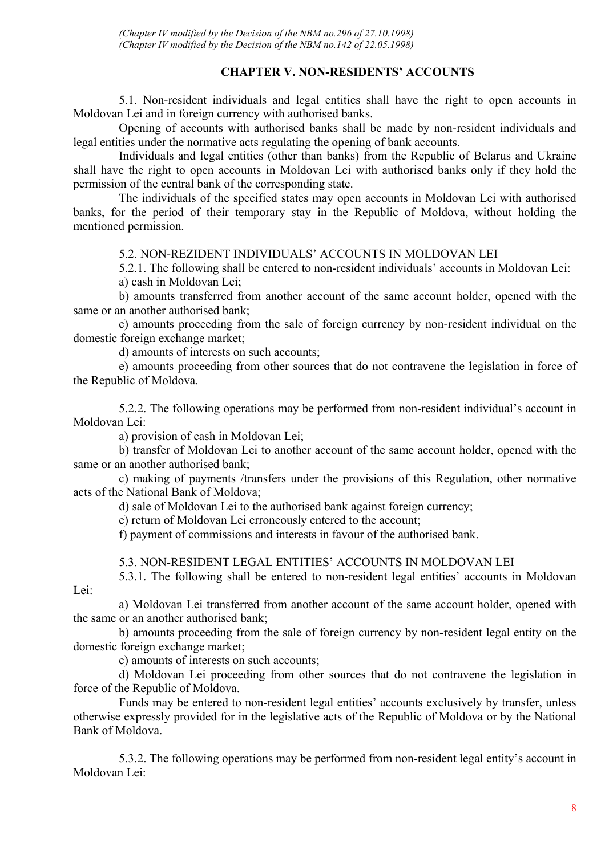*(Chapter IV modified by the Decision of the NBM no.296 of 27.10.1998) (Chapter IV modified by the Decision of the NBM no.142 of 22.05.1998)*

# **CHAPTER V. NON-RESIDENTS' ACCOUNTS**

5.1. Non-resident individuals and legal entities shall have the right to open accounts in Moldovan Lei and in foreign currency with authorised banks.

Opening of accounts with authorised banks shall be made by non-resident individuals and legal entities under the normative acts regulating the opening of bank accounts.

Individuals and legal entities (other than banks) from the Republic of Belarus and Ukraine shall have the right to open accounts in Moldovan Lei with authorised banks only if they hold the permission of the central bank of the corresponding state.

The individuals of the specified states may open accounts in Moldovan Lei with authorised banks, for the period of their temporary stay in the Republic of Moldova, without holding the mentioned permission.

#### 5.2. NON-REZIDENT INDIVIDUALS' ACCOUNTS IN MOLDOVAN LEI

5.2.1. The following shall be entered to non-resident individuals' accounts in Moldovan Lei: a) cash in Moldovan Lei;

b) amounts transferred from another account of the same account holder, opened with the same or an another authorised bank;

c) amounts proceeding from the sale of foreign currency by non-resident individual on the domestic foreign exchange market;

d) amounts of interests on such accounts;

e) amounts proceeding from other sources that do not contravene the legislation in force of the Republic of Moldova.

5.2.2. The following operations may be performed from non-resident individual's account in Moldovan Lei:

a) provision of cash in Moldovan Lei;

b) transfer of Moldovan Lei to another account of the same account holder, opened with the same or an another authorised bank;

c) making of payments /transfers under the provisions of this Regulation, other normative acts of the National Bank of Moldova;

d) sale of Moldovan Lei to the authorised bank against foreign currency;

e) return of Moldovan Lei erroneously entered to the account;

f) payment of commissions and interests in favour of the authorised bank.

5.3. NON-RESIDENT LEGAL ENTITIES' ACCOUNTS IN MOLDOVAN LEI

5.3.1. The following shall be entered to non-resident legal entities' accounts in Moldovan Lei:

a) Moldovan Lei transferred from another account of the same account holder, opened with the same or an another authorised bank;

b) amounts proceeding from the sale of foreign currency by non-resident legal entity on the domestic foreign exchange market;

c) amounts of interests on such accounts;

d) Moldovan Lei proceeding from other sources that do not contravene the legislation in force of the Republic of Moldova.

Funds may be entered to non-resident legal entities' accounts exclusively by transfer, unless otherwise expressly provided for in the legislative acts of the Republic of Moldova or by the National Bank of Moldova.

5.3.2. The following operations may be performed from non-resident legal entity's account in Moldovan Lei: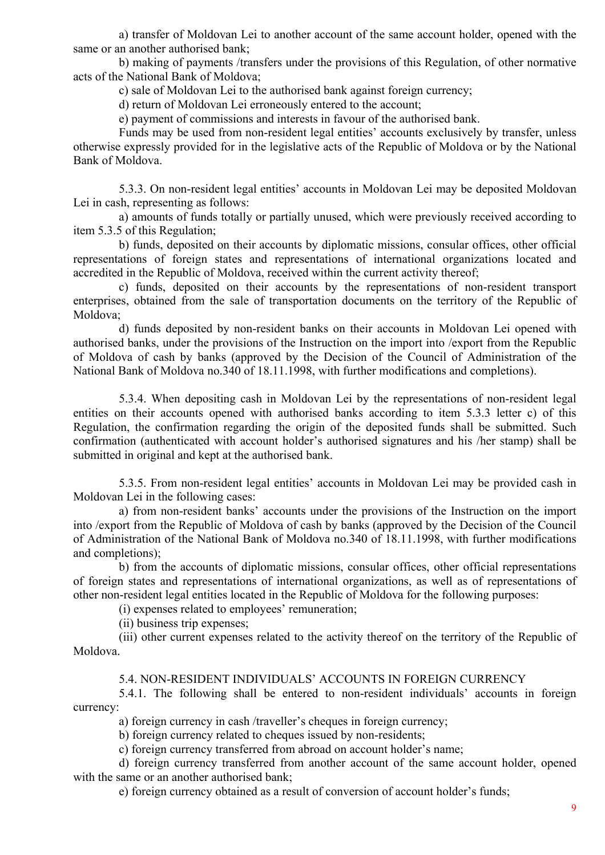a) transfer of Moldovan Lei to another account of the same account holder, opened with the same or an another authorised bank;

b) making of payments /transfers under the provisions of this Regulation, of other normative acts of the National Bank of Moldova;

c) sale of Moldovan Lei to the authorised bank against foreign currency;

d) return of Moldovan Lei erroneously entered to the account;

e) payment of commissions and interests in favour of the authorised bank.

Funds may be used from non-resident legal entities' accounts exclusively by transfer, unless otherwise expressly provided for in the legislative acts of the Republic of Moldova or by the National Bank of Moldova.

5.3.3. On non-resident legal entities' accounts in Moldovan Lei may be deposited Moldovan Lei in cash, representing as follows:

a) amounts of funds totally or partially unused, which were previously received according to item 5.3.5 of this Regulation;

b) funds, deposited on their accounts by diplomatic missions, consular offices, other official representations of foreign states and representations of international organizations located and accredited in the Republic of Moldova, received within the current activity thereof;

c) funds, deposited on their accounts by the representations of non-resident transport enterprises, obtained from the sale of transportation documents on the territory of the Republic of Moldova;

d) funds deposited by non-resident banks on their accounts in Moldovan Lei opened with authorised banks, under the provisions of the Instruction on the import into /export from the Republic of Moldova of cash by banks (approved by the Decision of the Council of Administration of the National Bank of Moldova no.340 of 18.11.1998, with further modifications and completions).

5.3.4. When depositing cash in Moldovan Lei by the representations of non-resident legal entities on their accounts opened with authorised banks according to item 5.3.3 letter c) of this Regulation, the confirmation regarding the origin of the deposited funds shall be submitted. Such confirmation (authenticated with account holder's authorised signatures and his /her stamp) shall be submitted in original and kept at the authorised bank.

5.3.5. From non-resident legal entities' accounts in Moldovan Lei may be provided cash in Moldovan Lei in the following cases:

a) from non-resident banks' accounts under the provisions of the Instruction on the import into /export from the Republic of Moldova of cash by banks (approved by the Decision of the Council of Administration of the National Bank of Moldova no.340 of 18.11.1998, with further modifications and completions);

b) from the accounts of diplomatic missions, consular offices, other official representations of foreign states and representations of international organizations, as well as of representations of other non-resident legal entities located in the Republic of Moldova for the following purposes:

(i) expenses related to employees' remuneration;

(ii) business trip expenses;

(iii) other current expenses related to the activity thereof on the territory of the Republic of Moldova.

# 5.4. NON-RESIDENT INDIVIDUALS' ACCOUNTS IN FOREIGN CURRENCY

5.4.1. The following shall be entered to non-resident individuals' accounts in foreign currency:

a) foreign currency in cash /traveller's cheques in foreign currency;

b) foreign currency related to cheques issued by non-residents;

c) foreign currency transferred from abroad on account holder's name;

d) foreign currency transferred from another account of the same account holder, opened with the same or an another authorised bank;

e) foreign currency obtained as a result of conversion of account holder's funds;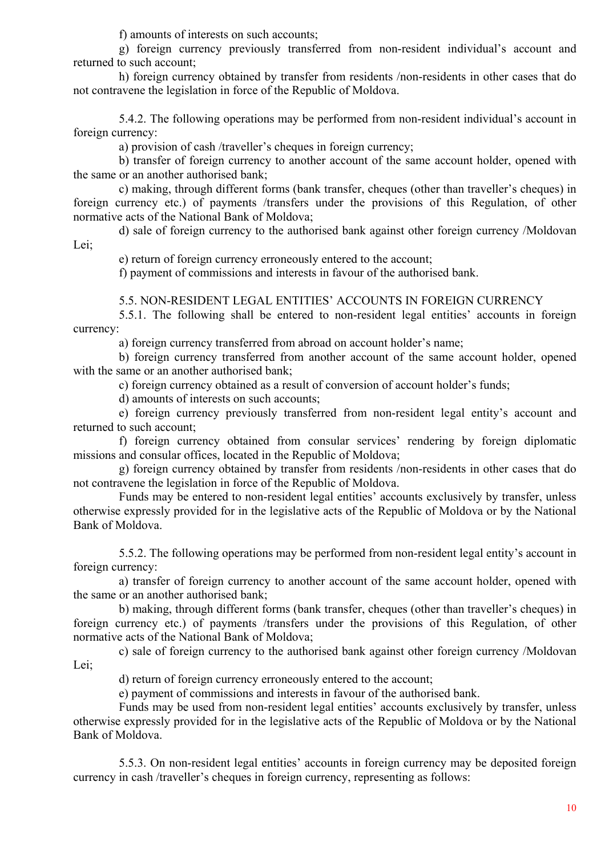f) amounts of interests on such accounts;

g) foreign currency previously transferred from non-resident individual's account and returned to such account;

h) foreign currency obtained by transfer from residents /non-residents in other cases that do not contravene the legislation in force of the Republic of Moldova.

5.4.2. The following operations may be performed from non-resident individual's account in foreign currency:

a) provision of cash /traveller's cheques in foreign currency;

b) transfer of foreign currency to another account of the same account holder, opened with the same or an another authorised bank;

c) making, through different forms (bank transfer, cheques (other than traveller's cheques) in foreign currency etc.) of payments /transfers under the provisions of this Regulation, of other normative acts of the National Bank of Moldova;

d) sale of foreign currency to the authorised bank against other foreign currency /Moldovan Lei;

e) return of foreign currency erroneously entered to the account;

f) payment of commissions and interests in favour of the authorised bank.

# 5.5. NON-RESIDENT LEGAL ENTITIES' ACCOUNTS IN FOREIGN CURRENCY

5.5.1. The following shall be entered to non-resident legal entities' accounts in foreign currency:

a) foreign currency transferred from abroad on account holder's name;

b) foreign currency transferred from another account of the same account holder, opened with the same or an another authorised bank;

c) foreign currency obtained as a result of conversion of account holder's funds;

d) amounts of interests on such accounts;

e) foreign currency previously transferred from non-resident legal entity's account and returned to such account;

f) foreign currency obtained from consular services' rendering by foreign diplomatic missions and consular offices, located in the Republic of Moldova;

g) foreign currency obtained by transfer from residents /non-residents in other cases that do not contravene the legislation in force of the Republic of Moldova.

Funds may be entered to non-resident legal entities' accounts exclusively by transfer, unless otherwise expressly provided for in the legislative acts of the Republic of Moldova or by the National Bank of Moldova.

5.5.2. The following operations may be performed from non-resident legal entity's account in foreign currency:

a) transfer of foreign currency to another account of the same account holder, opened with the same or an another authorised bank;

b) making, through different forms (bank transfer, cheques (other than traveller's cheques) in foreign currency etc.) of payments /transfers under the provisions of this Regulation, of other normative acts of the National Bank of Moldova;

c) sale of foreign currency to the authorised bank against other foreign currency /Moldovan Lei;

d) return of foreign currency erroneously entered to the account;

e) payment of commissions and interests in favour of the authorised bank.

Funds may be used from non-resident legal entities' accounts exclusively by transfer, unless otherwise expressly provided for in the legislative acts of the Republic of Moldova or by the National Bank of Moldova.

5.5.3. On non-resident legal entities' accounts in foreign currency may be deposited foreign currency in cash /traveller's cheques in foreign currency, representing as follows: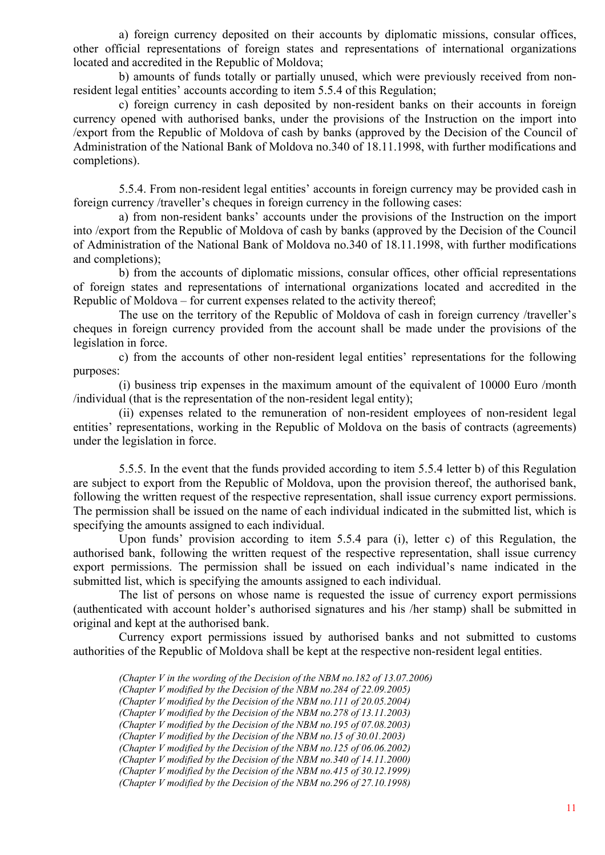a) foreign currency deposited on their accounts by diplomatic missions, consular offices, other official representations of foreign states and representations of international organizations located and accredited in the Republic of Moldova;

b) amounts of funds totally or partially unused, which were previously received from nonresident legal entities' accounts according to item 5.5.4 of this Regulation;

c) foreign currency in cash deposited by non-resident banks on their accounts in foreign currency opened with authorised banks, under the provisions of the Instruction on the import into /export from the Republic of Moldova of cash by banks (approved by the Decision of the Council of Administration of the National Bank of Moldova no.340 of 18.11.1998, with further modifications and completions).

5.5.4. From non-resident legal entities' accounts in foreign currency may be provided cash in foreign currency /traveller's cheques in foreign currency in the following cases:

a) from non-resident banks' accounts under the provisions of the Instruction on the import into /export from the Republic of Moldova of cash by banks (approved by the Decision of the Council of Administration of the National Bank of Moldova no.340 of 18.11.1998, with further modifications and completions);

b) from the accounts of diplomatic missions, consular offices, other official representations of foreign states and representations of international organizations located and accredited in the Republic of Moldova – for current expenses related to the activity thereof;

The use on the territory of the Republic of Moldova of cash in foreign currency /traveller's cheques in foreign currency provided from the account shall be made under the provisions of the legislation in force.

c) from the accounts of other non-resident legal entities' representations for the following purposes:

(i) business trip expenses in the maximum amount of the equivalent of 10000 Euro /month /individual (that is the representation of the non-resident legal entity);

(ii) expenses related to the remuneration of non-resident employees of non-resident legal entities' representations, working in the Republic of Moldova on the basis of contracts (agreements) under the legislation in force.

5.5.5. In the event that the funds provided according to item 5.5.4 letter b) of this Regulation are subject to export from the Republic of Moldova, upon the provision thereof, the authorised bank, following the written request of the respective representation, shall issue currency export permissions. The permission shall be issued on the name of each individual indicated in the submitted list, which is specifying the amounts assigned to each individual.

Upon funds' provision according to item 5.5.4 para (i), letter c) of this Regulation, the authorised bank, following the written request of the respective representation, shall issue currency export permissions. The permission shall be issued on each individual's name indicated in the submitted list, which is specifying the amounts assigned to each individual.

The list of persons on whose name is requested the issue of currency export permissions (authenticated with account holder's authorised signatures and his /her stamp) shall be submitted in original and kept at the authorised bank.

Currency export permissions issued by authorised banks and not submitted to customs authorities of the Republic of Moldova shall be kept at the respective non-resident legal entities.

*(Chapter V in the wording of the Decision of the NBM no.182 of 13.07.2006)* 

*(Chapter V modified by the Decision of the NBM no.284 of 22.09.2005)* 

*(Chapter V modified by the Decision of the NBM no.111 of 20.05.2004)* 

*(Chapter V modified by the Decision of the NBM no.278 of 13.11.2003)* 

*(Chapter V modified by the Decision of the NBM no.195 of 07.08.2003)* 

*(Chapter V modified by the Decision of the NBM no.15 of 30.01.2003) (Chapter V modified by the Decision of the NBM no.125 of 06.06.2002)* 

*(Chapter V modified by the Decision of the NBM no.340 of 14.11.2000)* 

*(Chapter V modified by the Decision of the NBM no.415 of 30.12.1999)* 

*(Chapter V modified by the Decision of the NBM no.296 of 27.10.1998)*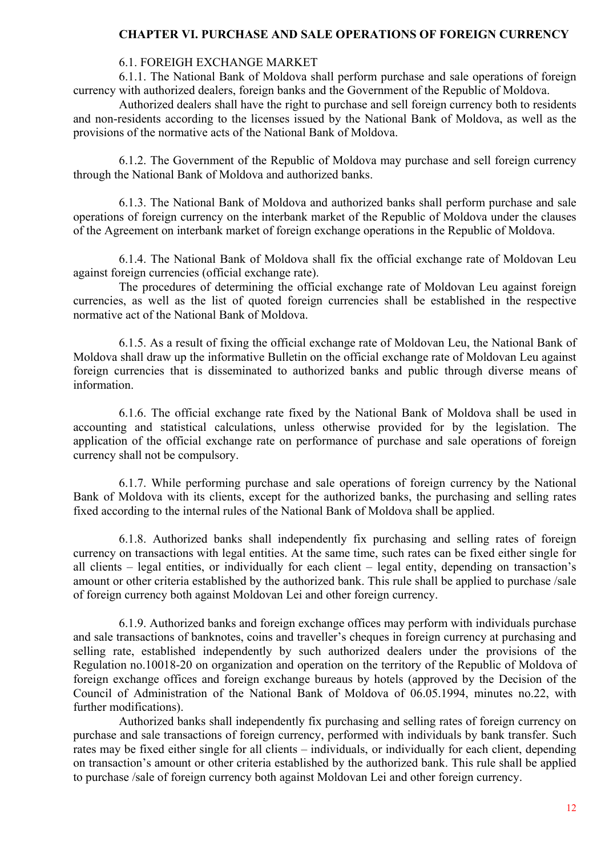# **CHAPTER VI. PURCHASE AND SALE OPERATIONS OF FOREIGN CURRENCY**

# 6.1. FOREIGH EXCHANGE MARKET

6.1.1. The National Bank of Moldova shall perform purchase and sale operations of foreign currency with authorized dealers, foreign banks and the Government of the Republic of Moldova.

Authorized dealers shall have the right to purchase and sell foreign currency both to residents and non-residents according to the licenses issued by the National Bank of Moldova, as well as the provisions of the normative acts of the National Bank of Moldova.

6.1.2. The Government of the Republic of Moldova may purchase and sell foreign currency through the National Bank of Moldova and authorized banks.

6.1.3. The National Bank of Moldova and authorized banks shall perform purchase and sale operations of foreign currency on the interbank market of the Republic of Moldova under the clauses of the Agreement on interbank market of foreign exchange operations in the Republic of Moldova.

6.1.4. The National Bank of Moldova shall fix the official exchange rate of Moldovan Leu against foreign currencies (official exchange rate).

The procedures of determining the official exchange rate of Moldovan Leu against foreign currencies, as well as the list of quoted foreign currencies shall be established in the respective normative act of the National Bank of Moldova.

6.1.5. As a result of fixing the official exchange rate of Moldovan Leu, the National Bank of Moldova shall draw up the informative Bulletin on the official exchange rate of Moldovan Leu against foreign currencies that is disseminated to authorized banks and public through diverse means of information.

6.1.6. The official exchange rate fixed by the National Bank of Moldova shall be used in accounting and statistical calculations, unless otherwise provided for by the legislation. The application of the official exchange rate on performance of purchase and sale operations of foreign currency shall not be compulsory.

6.1.7. While performing purchase and sale operations of foreign currency by the National Bank of Moldova with its clients, except for the authorized banks, the purchasing and selling rates fixed according to the internal rules of the National Bank of Moldova shall be applied.

6.1.8. Authorized banks shall independently fix purchasing and selling rates of foreign currency on transactions with legal entities. At the same time, such rates can be fixed either single for all clients – legal entities, or individually for each client – legal entity, depending on transaction's amount or other criteria established by the authorized bank. This rule shall be applied to purchase /sale of foreign currency both against Moldovan Lei and other foreign currency.

6.1.9. Authorized banks and foreign exchange offices may perform with individuals purchase and sale transactions of banknotes, coins and traveller's cheques in foreign currency at purchasing and selling rate, established independently by such authorized dealers under the provisions of the Regulation no.10018-20 on organization and operation on the territory of the Republic of Moldova of foreign exchange offices and foreign exchange bureaus by hotels (approved by the Decision of the Council of Administration of the National Bank of Moldova of 06.05.1994, minutes no.22, with further modifications).

Authorized banks shall independently fix purchasing and selling rates of foreign currency on purchase and sale transactions of foreign currency, performed with individuals by bank transfer. Such rates may be fixed either single for all clients – individuals, or individually for each client, depending on transaction's amount or other criteria established by the authorized bank. This rule shall be applied to purchase /sale of foreign currency both against Moldovan Lei and other foreign currency.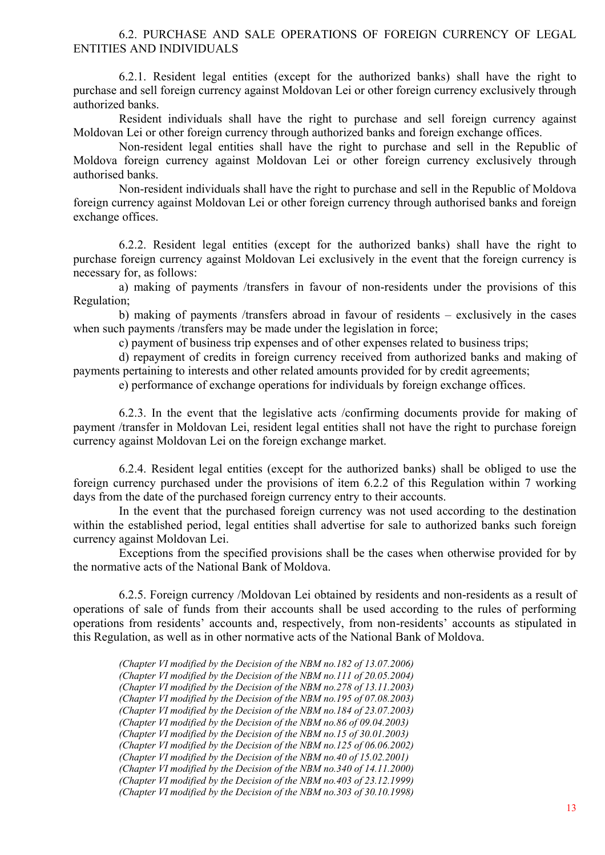## 6.2. PURCHASE AND SALE OPERATIONS OF FOREIGN CURRENCY OF LEGAL ENTITIES AND INDIVIDUALS

6.2.1. Resident legal entities (except for the authorized banks) shall have the right to purchase and sell foreign currency against Moldovan Lei or other foreign currency exclusively through authorized banks.

Resident individuals shall have the right to purchase and sell foreign currency against Moldovan Lei or other foreign currency through authorized banks and foreign exchange offices.

Non-resident legal entities shall have the right to purchase and sell in the Republic of Moldova foreign currency against Moldovan Lei or other foreign currency exclusively through authorised banks.

Non-resident individuals shall have the right to purchase and sell in the Republic of Moldova foreign currency against Moldovan Lei or other foreign currency through authorised banks and foreign exchange offices.

6.2.2. Resident legal entities (except for the authorized banks) shall have the right to purchase foreign currency against Moldovan Lei exclusively in the event that the foreign currency is necessary for, as follows:

a) making of payments /transfers in favour of non-residents under the provisions of this Regulation;

b) making of payments /transfers abroad in favour of residents – exclusively in the cases when such payments /transfers may be made under the legislation in force;

c) payment of business trip expenses and of other expenses related to business trips;

d) repayment of credits in foreign currency received from authorized banks and making of payments pertaining to interests and other related amounts provided for by credit agreements;

e) performance of exchange operations for individuals by foreign exchange offices.

6.2.3. In the event that the legislative acts /confirming documents provide for making of payment /transfer in Moldovan Lei, resident legal entities shall not have the right to purchase foreign currency against Moldovan Lei on the foreign exchange market.

6.2.4. Resident legal entities (except for the authorized banks) shall be obliged to use the foreign currency purchased under the provisions of item 6.2.2 of this Regulation within 7 working days from the date of the purchased foreign currency entry to their accounts.

In the event that the purchased foreign currency was not used according to the destination within the established period, legal entities shall advertise for sale to authorized banks such foreign currency against Moldovan Lei.

Exceptions from the specified provisions shall be the cases when otherwise provided for by the normative acts of the National Bank of Moldova.

6.2.5. Foreign currency /Moldovan Lei obtained by residents and non-residents as a result of operations of sale of funds from their accounts shall be used according to the rules of performing operations from residents' accounts and, respectively, from non-residents' accounts as stipulated in this Regulation, as well as in other normative acts of the National Bank of Moldova.

*(Chapter VI modified by the Decision of the NBM no.182 of 13.07.2006) (Chapter VI modified by the Decision of the NBM no.111 of 20.05.2004) (Chapter VI modified by the Decision of the NBM no.278 of 13.11.2003) (Chapter VI modified by the Decision of the NBM no.195 of 07.08.2003) (Chapter VI modified by the Decision of the NBM no.184 of 23.07.2003) (Chapter VI modified by the Decision of the NBM no.86 of 09.04.2003) (Chapter VI modified by the Decision of the NBM no.15 of 30.01.2003) (Chapter VI modified by the Decision of the NBM no.125 of 06.06.2002) (Chapter VI modified by the Decision of the NBM no.40 of 15.02.2001) (Chapter VI modified by the Decision of the NBM no.340 of 14.11.2000) (Chapter VI modified by the Decision of the NBM no.403 of 23.12.1999) (Chapter VI modified by the Decision of the NBM no.303 of 30.10.1998)*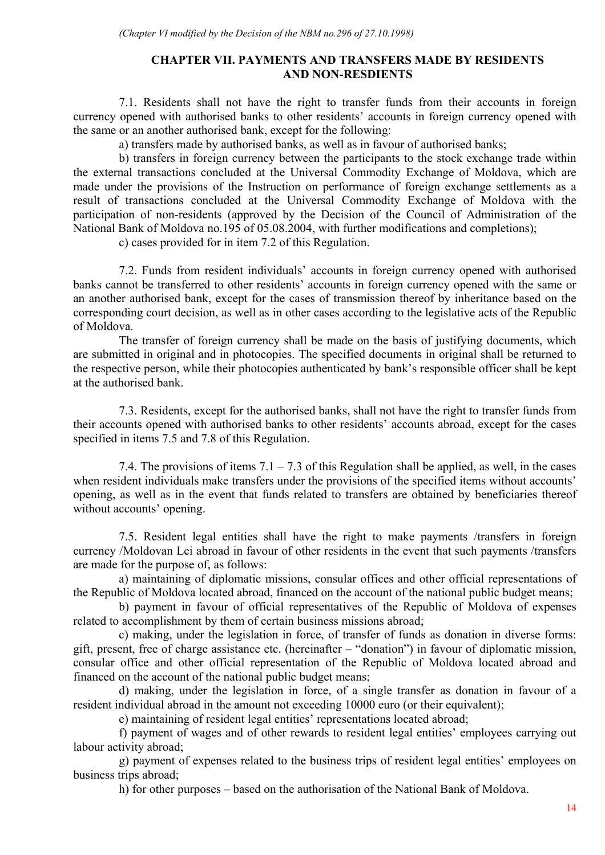# **CHAPTER VII. PAYMENTS AND TRANSFERS MADE BY RESIDENTS AND NON-RESDIENTS**

7.1. Residents shall not have the right to transfer funds from their accounts in foreign currency opened with authorised banks to other residents' accounts in foreign currency opened with the same or an another authorised bank, except for the following:

a) transfers made by authorised banks, as well as in favour of authorised banks;

b) transfers in foreign currency between the participants to the stock exchange trade within the external transactions concluded at the Universal Commodity Exchange of Moldova, which are made under the provisions of the Instruction on performance of foreign exchange settlements as a result of transactions concluded at the Universal Commodity Exchange of Moldova with the participation of non-residents (approved by the Decision of the Council of Administration of the National Bank of Moldova no.195 of 05.08.2004, with further modifications and completions);

c) cases provided for in item 7.2 of this Regulation.

7.2. Funds from resident individuals' accounts in foreign currency opened with authorised banks cannot be transferred to other residents' accounts in foreign currency opened with the same or an another authorised bank, except for the cases of transmission thereof by inheritance based on the corresponding court decision, as well as in other cases according to the legislative acts of the Republic of Moldova.

The transfer of foreign currency shall be made on the basis of justifying documents, which are submitted in original and in photocopies. The specified documents in original shall be returned to the respective person, while their photocopies authenticated by bank's responsible officer shall be kept at the authorised bank.

7.3. Residents, except for the authorised banks, shall not have the right to transfer funds from their accounts opened with authorised banks to other residents' accounts abroad, except for the cases specified in items 7.5 and 7.8 of this Regulation.

7.4. The provisions of items  $7.1 - 7.3$  of this Regulation shall be applied, as well, in the cases when resident individuals make transfers under the provisions of the specified items without accounts' opening, as well as in the event that funds related to transfers are obtained by beneficiaries thereof without accounts' opening.

7.5. Resident legal entities shall have the right to make payments /transfers in foreign currency /Moldovan Lei abroad in favour of other residents in the event that such payments /transfers are made for the purpose of, as follows:

a) maintaining of diplomatic missions, consular offices and other official representations of the Republic of Moldova located abroad, financed on the account of the national public budget means;

b) payment in favour of official representatives of the Republic of Moldova of expenses related to accomplishment by them of certain business missions abroad;

c) making, under the legislation in force, of transfer of funds as donation in diverse forms: gift, present, free of charge assistance etc. (hereinafter – "donation") in favour of diplomatic mission, consular office and other official representation of the Republic of Moldova located abroad and financed on the account of the national public budget means;

d) making, under the legislation in force, of a single transfer as donation in favour of a resident individual abroad in the amount not exceeding 10000 euro (or their equivalent);

e) maintaining of resident legal entities' representations located abroad;

f) payment of wages and of other rewards to resident legal entities' employees carrying out labour activity abroad;

g) payment of expenses related to the business trips of resident legal entities' employees on business trips abroad;

h) for other purposes – based on the authorisation of the National Bank of Moldova.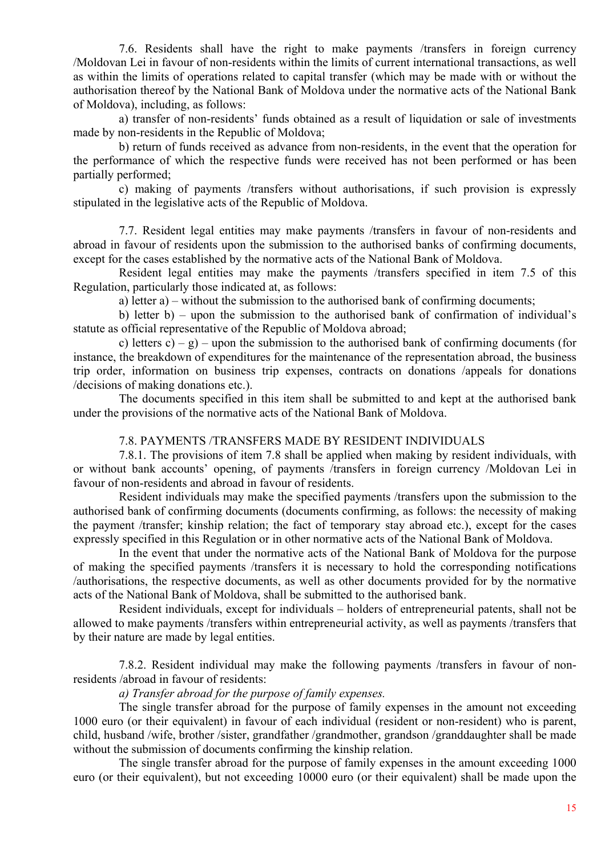7.6. Residents shall have the right to make payments /transfers in foreign currency /Moldovan Lei in favour of non-residents within the limits of current international transactions, as well as within the limits of operations related to capital transfer (which may be made with or without the authorisation thereof by the National Bank of Moldova under the normative acts of the National Bank of Moldova), including, as follows:

a) transfer of non-residents' funds obtained as a result of liquidation or sale of investments made by non-residents in the Republic of Moldova;

b) return of funds received as advance from non-residents, in the event that the operation for the performance of which the respective funds were received has not been performed or has been partially performed;

c) making of payments /transfers without authorisations, if such provision is expressly stipulated in the legislative acts of the Republic of Moldova.

7.7. Resident legal entities may make payments /transfers in favour of non-residents and abroad in favour of residents upon the submission to the authorised banks of confirming documents, except for the cases established by the normative acts of the National Bank of Moldova.

Resident legal entities may make the payments /transfers specified in item 7.5 of this Regulation, particularly those indicated at, as follows:

a) letter a) – without the submission to the authorised bank of confirming documents;

b) letter b) – upon the submission to the authorised bank of confirmation of individual's statute as official representative of the Republic of Moldova abroad;

c) letters c) – g) – upon the submission to the authorised bank of confirming documents (for instance, the breakdown of expenditures for the maintenance of the representation abroad, the business trip order, information on business trip expenses, contracts on donations /appeals for donations /decisions of making donations etc.).

The documents specified in this item shall be submitted to and kept at the authorised bank under the provisions of the normative acts of the National Bank of Moldova.

## 7.8. PAYMENTS /TRANSFERS MADE BY RESIDENT INDIVIDUALS

7.8.1. The provisions of item 7.8 shall be applied when making by resident individuals, with or without bank accounts' opening, of payments /transfers in foreign currency /Moldovan Lei in favour of non-residents and abroad in favour of residents.

Resident individuals may make the specified payments /transfers upon the submission to the authorised bank of confirming documents (documents confirming, as follows: the necessity of making the payment /transfer; kinship relation; the fact of temporary stay abroad etc.), except for the cases expressly specified in this Regulation or in other normative acts of the National Bank of Moldova.

In the event that under the normative acts of the National Bank of Moldova for the purpose of making the specified payments /transfers it is necessary to hold the corresponding notifications /authorisations, the respective documents, as well as other documents provided for by the normative acts of the National Bank of Moldova, shall be submitted to the authorised bank.

Resident individuals, except for individuals – holders of entrepreneurial patents, shall not be allowed to make payments /transfers within entrepreneurial activity, as well as payments /transfers that by their nature are made by legal entities.

7.8.2. Resident individual may make the following payments /transfers in favour of nonresidents /abroad in favour of residents:

# *a) Transfer abroad for the purpose of family expenses.*

The single transfer abroad for the purpose of family expenses in the amount not exceeding 1000 euro (or their equivalent) in favour of each individual (resident or non-resident) who is parent, child, husband /wife, brother /sister, grandfather /grandmother, grandson /granddaughter shall be made without the submission of documents confirming the kinship relation.

The single transfer abroad for the purpose of family expenses in the amount exceeding 1000 euro (or their equivalent), but not exceeding 10000 euro (or their equivalent) shall be made upon the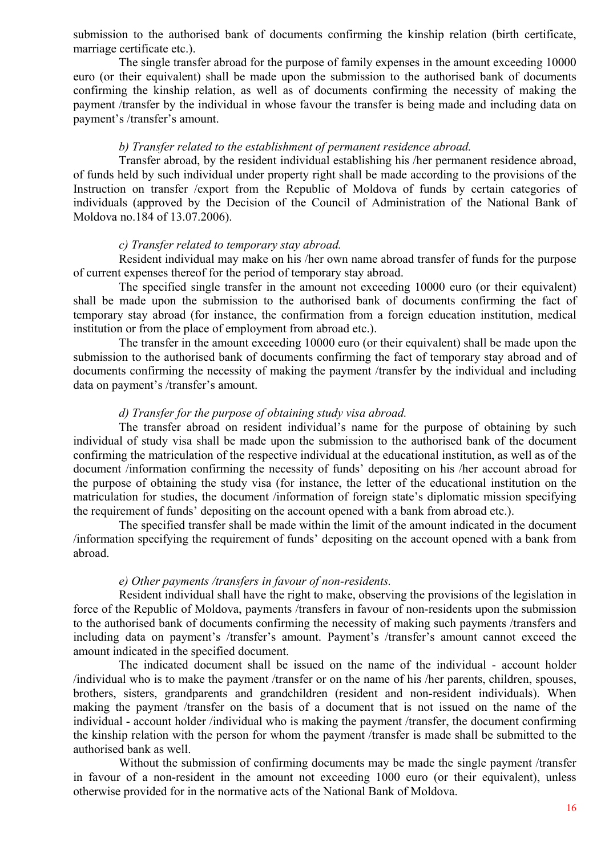submission to the authorised bank of documents confirming the kinship relation (birth certificate, marriage certificate etc.).

The single transfer abroad for the purpose of family expenses in the amount exceeding 10000 euro (or their equivalent) shall be made upon the submission to the authorised bank of documents confirming the kinship relation, as well as of documents confirming the necessity of making the payment /transfer by the individual in whose favour the transfer is being made and including data on payment's /transfer's amount.

#### *b) Transfer related to the establishment of permanent residence abroad.*

Transfer abroad, by the resident individual establishing his /her permanent residence abroad, of funds held by such individual under property right shall be made according to the provisions of the Instruction on transfer /export from the Republic of Moldova of funds by certain categories of individuals (approved by the Decision of the Council of Administration of the National Bank of Moldova no.184 of 13.07.2006).

#### *c) Transfer related to temporary stay abroad.*

Resident individual may make on his /her own name abroad transfer of funds for the purpose of current expenses thereof for the period of temporary stay abroad.

The specified single transfer in the amount not exceeding 10000 euro (or their equivalent) shall be made upon the submission to the authorised bank of documents confirming the fact of temporary stay abroad (for instance, the confirmation from a foreign education institution, medical institution or from the place of employment from abroad etc.).

The transfer in the amount exceeding 10000 euro (or their equivalent) shall be made upon the submission to the authorised bank of documents confirming the fact of temporary stay abroad and of documents confirming the necessity of making the payment /transfer by the individual and including data on payment's /transfer's amount.

# *d) Transfer for the purpose of obtaining study visa abroad.*

The transfer abroad on resident individual's name for the purpose of obtaining by such individual of study visa shall be made upon the submission to the authorised bank of the document confirming the matriculation of the respective individual at the educational institution, as well as of the document /information confirming the necessity of funds' depositing on his /her account abroad for the purpose of obtaining the study visa (for instance, the letter of the educational institution on the matriculation for studies, the document /information of foreign state's diplomatic mission specifying the requirement of funds' depositing on the account opened with a bank from abroad etc.).

The specified transfer shall be made within the limit of the amount indicated in the document /information specifying the requirement of funds' depositing on the account opened with a bank from abroad.

#### *e) Other payments /transfers in favour of non-residents.*

Resident individual shall have the right to make, observing the provisions of the legislation in force of the Republic of Moldova, payments /transfers in favour of non-residents upon the submission to the authorised bank of documents confirming the necessity of making such payments /transfers and including data on payment's /transfer's amount. Payment's /transfer's amount cannot exceed the amount indicated in the specified document.

The indicated document shall be issued on the name of the individual - account holder /individual who is to make the payment /transfer or on the name of his /her parents, children, spouses, brothers, sisters, grandparents and grandchildren (resident and non-resident individuals). When making the payment /transfer on the basis of a document that is not issued on the name of the individual - account holder /individual who is making the payment /transfer, the document confirming the kinship relation with the person for whom the payment /transfer is made shall be submitted to the authorised bank as well.

Without the submission of confirming documents may be made the single payment /transfer in favour of a non-resident in the amount not exceeding 1000 euro (or their equivalent), unless otherwise provided for in the normative acts of the National Bank of Moldova.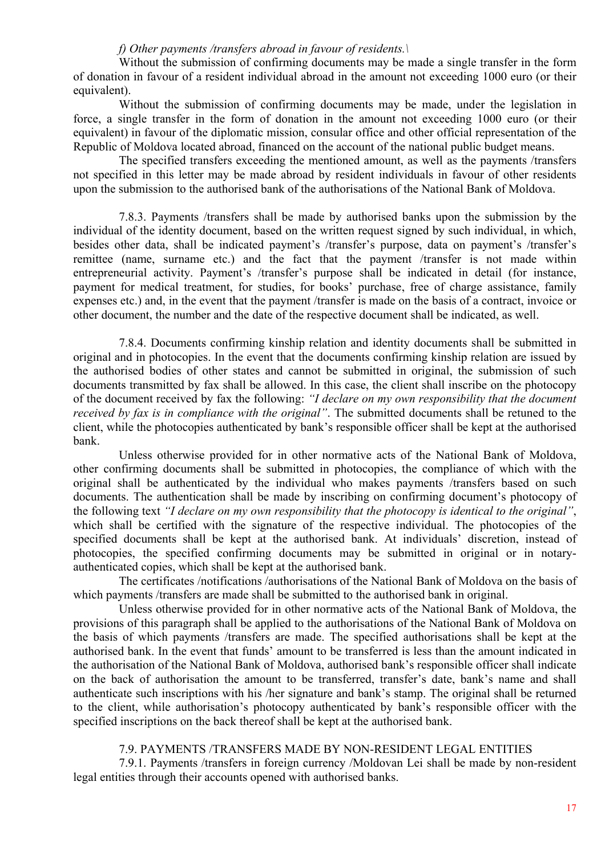# *f) Other payments /transfers abroad in favour of residents.\*

Without the submission of confirming documents may be made a single transfer in the form of donation in favour of a resident individual abroad in the amount not exceeding 1000 euro (or their equivalent).

Without the submission of confirming documents may be made, under the legislation in force, a single transfer in the form of donation in the amount not exceeding 1000 euro (or their equivalent) in favour of the diplomatic mission, consular office and other official representation of the Republic of Moldova located abroad, financed on the account of the national public budget means.

The specified transfers exceeding the mentioned amount, as well as the payments /transfers not specified in this letter may be made abroad by resident individuals in favour of other residents upon the submission to the authorised bank of the authorisations of the National Bank of Moldova.

7.8.3. Payments /transfers shall be made by authorised banks upon the submission by the individual of the identity document, based on the written request signed by such individual, in which, besides other data, shall be indicated payment's /transfer's purpose, data on payment's /transfer's remittee (name, surname etc.) and the fact that the payment /transfer is not made within entrepreneurial activity. Payment's /transfer's purpose shall be indicated in detail (for instance, payment for medical treatment, for studies, for books' purchase, free of charge assistance, family expenses etc.) and, in the event that the payment /transfer is made on the basis of a contract, invoice or other document, the number and the date of the respective document shall be indicated, as well.

7.8.4. Documents confirming kinship relation and identity documents shall be submitted in original and in photocopies. In the event that the documents confirming kinship relation are issued by the authorised bodies of other states and cannot be submitted in original, the submission of such documents transmitted by fax shall be allowed. In this case, the client shall inscribe on the photocopy of the document received by fax the following: *"I declare on my own responsibility that the document received by fax is in compliance with the original"*. The submitted documents shall be retuned to the client, while the photocopies authenticated by bank's responsible officer shall be kept at the authorised bank.

Unless otherwise provided for in other normative acts of the National Bank of Moldova, other confirming documents shall be submitted in photocopies, the compliance of which with the original shall be authenticated by the individual who makes payments /transfers based on such documents. The authentication shall be made by inscribing on confirming document's photocopy of the following text *"I declare on my own responsibility that the photocopy is identical to the original"*, which shall be certified with the signature of the respective individual. The photocopies of the specified documents shall be kept at the authorised bank. At individuals' discretion, instead of photocopies, the specified confirming documents may be submitted in original or in notaryauthenticated copies, which shall be kept at the authorised bank.

The certificates /notifications /authorisations of the National Bank of Moldova on the basis of which payments /transfers are made shall be submitted to the authorised bank in original.

Unless otherwise provided for in other normative acts of the National Bank of Moldova, the provisions of this paragraph shall be applied to the authorisations of the National Bank of Moldova on the basis of which payments /transfers are made. The specified authorisations shall be kept at the authorised bank. In the event that funds' amount to be transferred is less than the amount indicated in the authorisation of the National Bank of Moldova, authorised bank's responsible officer shall indicate on the back of authorisation the amount to be transferred, transfer's date, bank's name and shall authenticate such inscriptions with his /her signature and bank's stamp. The original shall be returned to the client, while authorisation's photocopy authenticated by bank's responsible officer with the specified inscriptions on the back thereof shall be kept at the authorised bank.

# 7.9. PAYMENTS /TRANSFERS MADE BY NON-RESIDENT LEGAL ENTITIES

7.9.1. Payments /transfers in foreign currency /Moldovan Lei shall be made by non-resident legal entities through their accounts opened with authorised banks.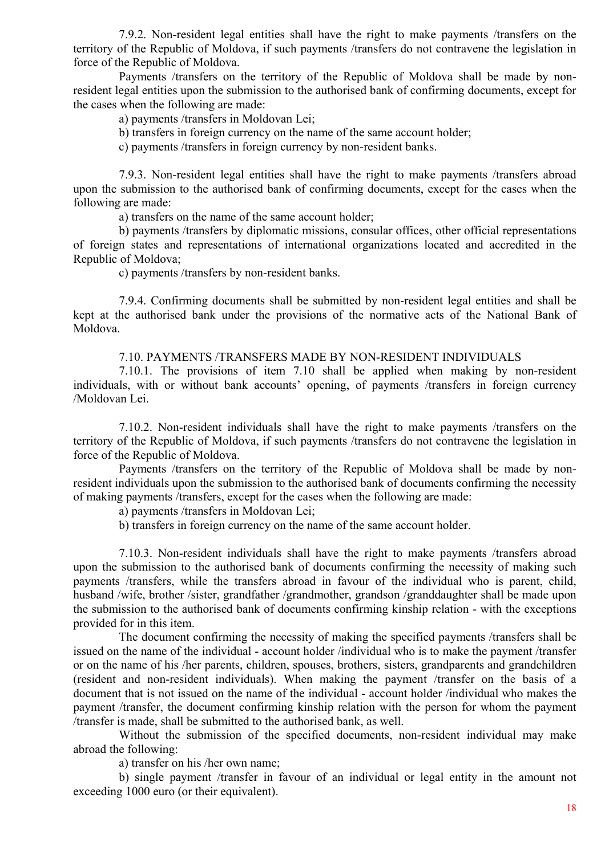7.9.2. Non-resident legal entities shall have the right to make payments /transfers on the territory of the Republic of Moldova, if such payments /transfers do not contravene the legislation in force of the Republic of Moldova.

Payments /transfers on the territory of the Republic of Moldova shall be made by nonresident legal entities upon the submission to the authorised bank of confirming documents, except for the cases when the following are made:

a) payments /transfers in Moldovan Lei;

b) transfers in foreign currency on the name of the same account holder;

c) payments /transfers in foreign currency by non-resident banks.

7.9.3. Non-resident legal entities shall have the right to make payments /transfers abroad upon the submission to the authorised bank of confirming documents, except for the cases when the following are made:

a) transfers on the name of the same account holder;

b) payments /transfers by diplomatic missions, consular offices, other official representations of foreign states and representations of international organizations located and accredited in the Republic of Moldova;

c) payments /transfers by non-resident banks.

7.9.4. Confirming documents shall be submitted by non-resident legal entities and shall be kept at the authorised bank under the provisions of the normative acts of the National Bank of Moldova.

7.10. PAYMENTS /TRANSFERS MADE BY NON-RESIDENT INDIVIDUALS

7.10.1. The provisions of item 7.10 shall be applied when making by non-resident individuals, with or without bank accounts' opening, of payments /transfers in foreign currency /Moldovan Lei.

7.10.2. Non-resident individuals shall have the right to make payments /transfers on the territory of the Republic of Moldova, if such payments /transfers do not contravene the legislation in force of the Republic of Moldova.

Payments /transfers on the territory of the Republic of Moldova shall be made by nonresident individuals upon the submission to the authorised bank of documents confirming the necessity of making payments /transfers, except for the cases when the following are made:

a) payments /transfers in Moldovan Lei;

b) transfers in foreign currency on the name of the same account holder.

7.10.3. Non-resident individuals shall have the right to make payments /transfers abroad upon the submission to the authorised bank of documents confirming the necessity of making such payments /transfers, while the transfers abroad in favour of the individual who is parent, child, husband /wife, brother /sister, grandfather /grandmother, grandson /granddaughter shall be made upon the submission to the authorised bank of documents confirming kinship relation - with the exceptions provided for in this item.

The document confirming the necessity of making the specified payments /transfers shall be issued on the name of the individual - account holder /individual who is to make the payment /transfer or on the name of his /her parents, children, spouses, brothers, sisters, grandparents and grandchildren (resident and non-resident individuals). When making the payment /transfer on the basis of a document that is not issued on the name of the individual - account holder /individual who makes the payment /transfer, the document confirming kinship relation with the person for whom the payment /transfer is made, shall be submitted to the authorised bank, as well.

Without the submission of the specified documents, non-resident individual may make abroad the following:

a) transfer on his /her own name;

b) single payment /transfer in favour of an individual or legal entity in the amount not exceeding 1000 euro (or their equivalent).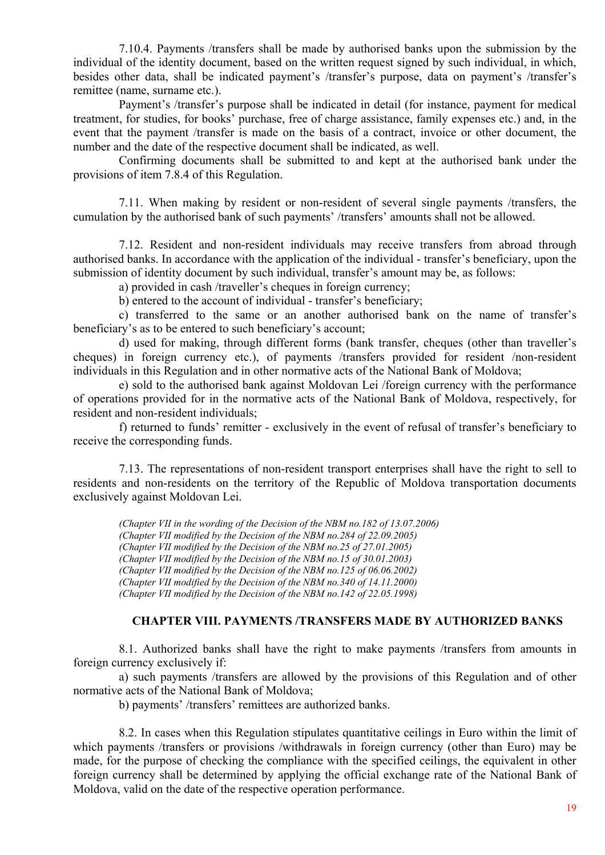7.10.4. Payments /transfers shall be made by authorised banks upon the submission by the individual of the identity document, based on the written request signed by such individual, in which, besides other data, shall be indicated payment's /transfer's purpose, data on payment's /transfer's remittee (name, surname etc.).

Payment's /transfer's purpose shall be indicated in detail (for instance, payment for medical treatment, for studies, for books' purchase, free of charge assistance, family expenses etc.) and, in the event that the payment /transfer is made on the basis of a contract, invoice or other document, the number and the date of the respective document shall be indicated, as well.

Confirming documents shall be submitted to and kept at the authorised bank under the provisions of item 7.8.4 of this Regulation.

7.11. When making by resident or non-resident of several single payments /transfers, the cumulation by the authorised bank of such payments' /transfers' amounts shall not be allowed.

7.12. Resident and non-resident individuals may receive transfers from abroad through authorised banks. In accordance with the application of the individual - transfer's beneficiary, upon the submission of identity document by such individual, transfer's amount may be, as follows:

a) provided in cash /traveller's cheques in foreign currency;

b) entered to the account of individual - transfer's beneficiary;

c) transferred to the same or an another authorised bank on the name of transfer's beneficiary's as to be entered to such beneficiary's account;

d) used for making, through different forms (bank transfer, cheques (other than traveller's cheques) in foreign currency etc.), of payments /transfers provided for resident /non-resident individuals in this Regulation and in other normative acts of the National Bank of Moldova;

e) sold to the authorised bank against Moldovan Lei /foreign currency with the performance of operations provided for in the normative acts of the National Bank of Moldova, respectively, for resident and non-resident individuals;

f) returned to funds' remitter - exclusively in the event of refusal of transfer's beneficiary to receive the corresponding funds.

7.13. The representations of non-resident transport enterprises shall have the right to sell to residents and non-residents on the territory of the Republic of Moldova transportation documents exclusively against Moldovan Lei.

*(Chapter VII in the wording of the Decision of the NBM no.182 of 13.07.2006) (Chapter VII modified by the Decision of the NBM no.284 of 22.09.2005) (Chapter VII modified by the Decision of the NBM no.25 of 27.01.2005) (Chapter VII modified by the Decision of the NBM no.15 of 30.01.2003) (Chapter VII modified by the Decision of the NBM no.125 of 06.06.2002) (Chapter VII modified by the Decision of the NBM no.340 of 14.11.2000) (Chapter VII modified by the Decision of the NBM no.142 of 22.05.1998)*

### **CHAPTER VIII. PAYMENTS /TRANSFERS MADE BY AUTHORIZED BANKS**

8.1. Authorized banks shall have the right to make payments /transfers from amounts in foreign currency exclusively if:

a) such payments /transfers are allowed by the provisions of this Regulation and of other normative acts of the National Bank of Moldova;

b) payments' /transfers' remittees are authorized banks.

8.2. In cases when this Regulation stipulates quantitative ceilings in Euro within the limit of which payments /transfers or provisions /withdrawals in foreign currency (other than Euro) may be made, for the purpose of checking the compliance with the specified ceilings, the equivalent in other foreign currency shall be determined by applying the official exchange rate of the National Bank of Moldova, valid on the date of the respective operation performance.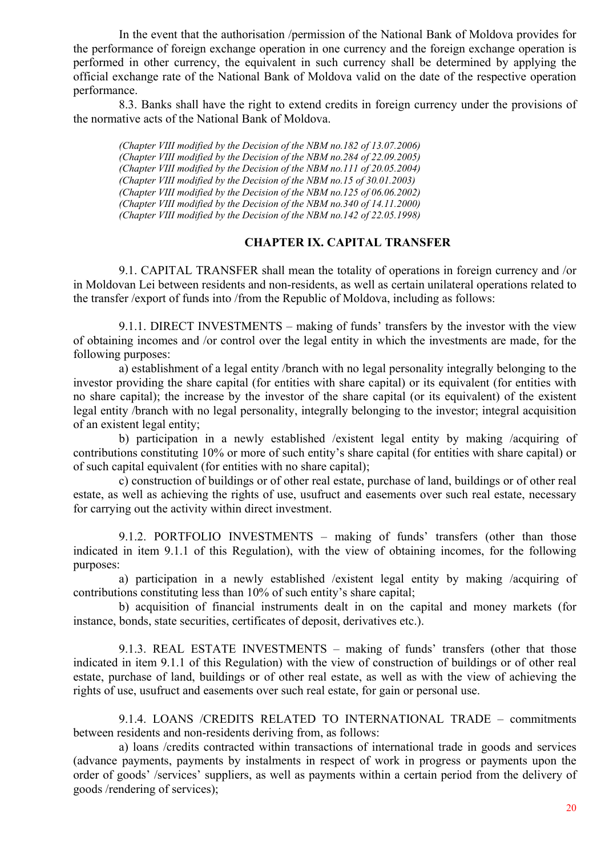In the event that the authorisation /permission of the National Bank of Moldova provides for the performance of foreign exchange operation in one currency and the foreign exchange operation is performed in other currency, the equivalent in such currency shall be determined by applying the official exchange rate of the National Bank of Moldova valid on the date of the respective operation performance.

8.3. Banks shall have the right to extend credits in foreign currency under the provisions of the normative acts of the National Bank of Moldova.

*(Chapter VIII modified by the Decision of the NBM no.182 of 13.07.2006) (Chapter VIII modified by the Decision of the NBM no.284 of 22.09.2005) (Chapter VIII modified by the Decision of the NBM no.111 of 20.05.2004) (Chapter VIII modified by the Decision of the NBM no.15 of 30.01.2003) (Chapter VIII modified by the Decision of the NBM no.125 of 06.06.2002) (Chapter VIII modified by the Decision of the NBM no.340 of 14.11.2000) (Chapter VIII modified by the Decision of the NBM no.142 of 22.05.1998)* 

# **CHAPTER IX. CAPITAL TRANSFER**

9.1. CAPITAL TRANSFER shall mean the totality of operations in foreign currency and /or in Moldovan Lei between residents and non-residents, as well as certain unilateral operations related to the transfer /export of funds into /from the Republic of Moldova, including as follows:

9.1.1. DIRECT INVESTMENTS – making of funds' transfers by the investor with the view of obtaining incomes and /or control over the legal entity in which the investments are made, for the following purposes:

a) establishment of a legal entity /branch with no legal personality integrally belonging to the investor providing the share capital (for entities with share capital) or its equivalent (for entities with no share capital); the increase by the investor of the share capital (or its equivalent) of the existent legal entity /branch with no legal personality, integrally belonging to the investor; integral acquisition of an existent legal entity;

b) participation in a newly established /existent legal entity by making /acquiring of contributions constituting 10% or more of such entity's share capital (for entities with share capital) or of such capital equivalent (for entities with no share capital);

c) construction of buildings or of other real estate, purchase of land, buildings or of other real estate, as well as achieving the rights of use, usufruct and easements over such real estate, necessary for carrying out the activity within direct investment.

9.1.2. PORTFOLIO INVESTMENTS – making of funds' transfers (other than those indicated in item 9.1.1 of this Regulation), with the view of obtaining incomes, for the following purposes:

a) participation in a newly established /existent legal entity by making /acquiring of contributions constituting less than 10% of such entity's share capital;

b) acquisition of financial instruments dealt in on the capital and money markets (for instance, bonds, state securities, certificates of deposit, derivatives etc.).

9.1.3. REAL ESTATE INVESTMENTS – making of funds' transfers (other that those indicated in item 9.1.1 of this Regulation) with the view of construction of buildings or of other real estate, purchase of land, buildings or of other real estate, as well as with the view of achieving the rights of use, usufruct and easements over such real estate, for gain or personal use.

9.1.4. LOANS /CREDITS RELATED TO INTERNATIONAL TRADE – commitments between residents and non-residents deriving from, as follows:

a) loans /credits contracted within transactions of international trade in goods and services (advance payments, payments by instalments in respect of work in progress or payments upon the order of goods' /services' suppliers, as well as payments within a certain period from the delivery of goods /rendering of services);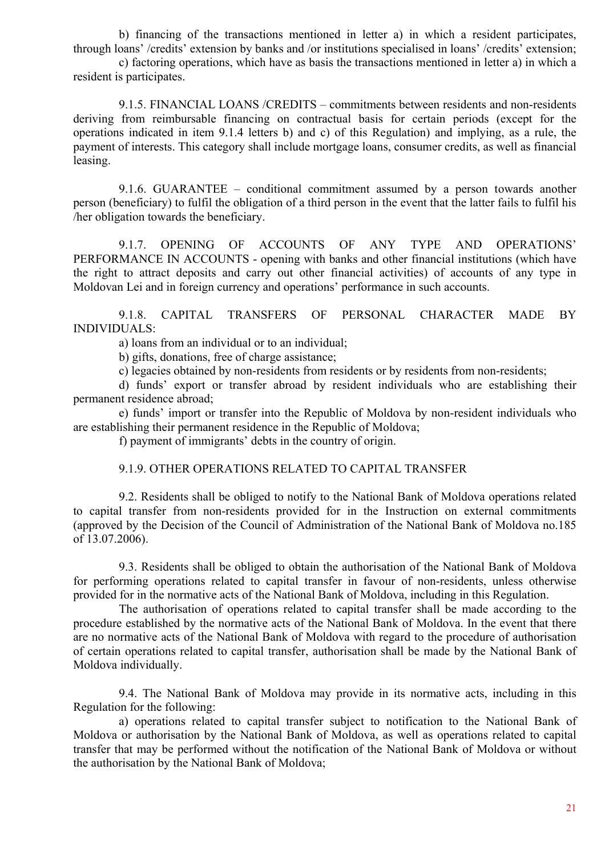b) financing of the transactions mentioned in letter a) in which a resident participates, through loans' /credits' extension by banks and /or institutions specialised in loans' /credits' extension;

c) factoring operations, which have as basis the transactions mentioned in letter a) in which a resident is participates.

9.1.5. FINANCIAL LOANS /CREDITS – commitments between residents and non-residents deriving from reimbursable financing on contractual basis for certain periods (except for the operations indicated in item 9.1.4 letters b) and c) of this Regulation) and implying, as a rule, the payment of interests. This category shall include mortgage loans, consumer credits, as well as financial leasing.

9.1.6. GUARANTEE – conditional commitment assumed by a person towards another person (beneficiary) to fulfil the obligation of a third person in the event that the latter fails to fulfil his /her obligation towards the beneficiary.

9.1.7. OPENING OF ACCOUNTS OF ANY TYPE AND OPERATIONS' PERFORMANCE IN ACCOUNTS - opening with banks and other financial institutions (which have the right to attract deposits and carry out other financial activities) of accounts of any type in Moldovan Lei and in foreign currency and operations' performance in such accounts.

9.1.8. CAPITAL TRANSFERS OF PERSONAL CHARACTER MADE BY INDIVIDUALS:

a) loans from an individual or to an individual;

b) gifts, donations, free of charge assistance;

c) legacies obtained by non-residents from residents or by residents from non-residents;

d) funds' export or transfer abroad by resident individuals who are establishing their permanent residence abroad;

e) funds' import or transfer into the Republic of Moldova by non-resident individuals who are establishing their permanent residence in the Republic of Moldova;

f) payment of immigrants' debts in the country of origin.

# 9.1.9. OTHER OPERATIONS RELATED TO CAPITAL TRANSFER

9.2. Residents shall be obliged to notify to the National Bank of Moldova operations related to capital transfer from non-residents provided for in the Instruction on external commitments (approved by the Decision of the Council of Administration of the National Bank of Moldova no.185 of 13.07.2006).

9.3. Residents shall be obliged to obtain the authorisation of the National Bank of Moldova for performing operations related to capital transfer in favour of non-residents, unless otherwise provided for in the normative acts of the National Bank of Moldova, including in this Regulation.

The authorisation of operations related to capital transfer shall be made according to the procedure established by the normative acts of the National Bank of Moldova. In the event that there are no normative acts of the National Bank of Moldova with regard to the procedure of authorisation of certain operations related to capital transfer, authorisation shall be made by the National Bank of Moldova individually.

9.4. The National Bank of Moldova may provide in its normative acts, including in this Regulation for the following:

a) operations related to capital transfer subject to notification to the National Bank of Moldova or authorisation by the National Bank of Moldova, as well as operations related to capital transfer that may be performed without the notification of the National Bank of Moldova or without the authorisation by the National Bank of Moldova;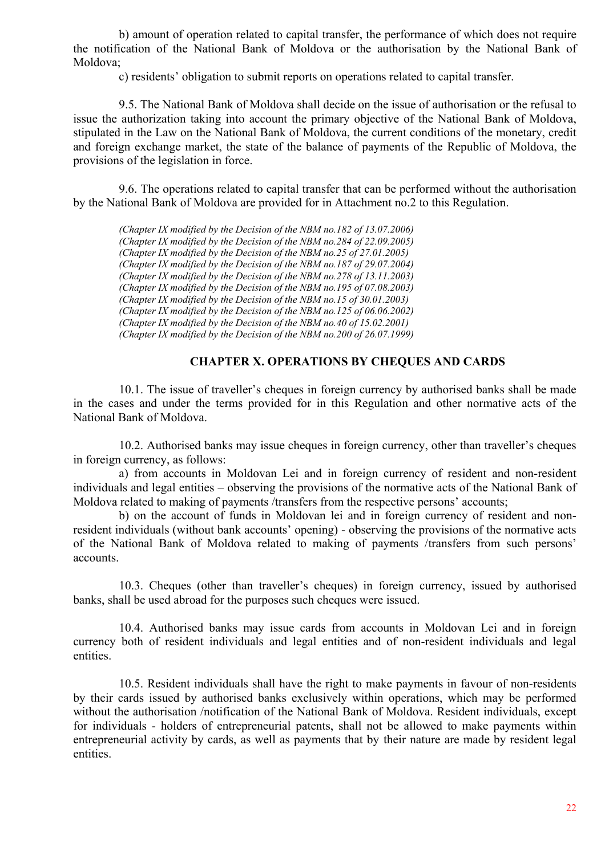b) amount of operation related to capital transfer, the performance of which does not require the notification of the National Bank of Moldova or the authorisation by the National Bank of Moldova;

c) residents' obligation to submit reports on operations related to capital transfer.

9.5. The National Bank of Moldova shall decide on the issue of authorisation or the refusal to issue the authorization taking into account the primary objective of the National Bank of Moldova, stipulated in the Law on the National Bank of Moldova, the current conditions of the monetary, credit and foreign exchange market, the state of the balance of payments of the Republic of Moldova, the provisions of the legislation in force.

9.6. The operations related to capital transfer that can be performed without the authorisation by the National Bank of Moldova are provided for in Attachment no.2 to this Regulation.

*(Chapter IX modified by the Decision of the NBM no.182 of 13.07.2006) (Chapter IX modified by the Decision of the NBM no.284 of 22.09.2005) (Chapter IX modified by the Decision of the NBM no.25 of 27.01.2005) (Chapter IX modified by the Decision of the NBM no.187 of 29.07.2004) (Chapter IX modified by the Decision of the NBM no.278 of 13.11.2003) (Chapter IX modified by the Decision of the NBM no.195 of 07.08.2003) (Chapter IX modified by the Decision of the NBM no.15 of 30.01.2003) (Chapter IX modified by the Decision of the NBM no.125 of 06.06.2002) (Chapter IX modified by the Decision of the NBM no.40 of 15.02.2001) (Chapter IX modified by the Decision of the NBM no.200 of 26.07.1999)*

# **CHAPTER X. OPERATIONS BY CHEQUES AND CARDS**

10.1. The issue of traveller's cheques in foreign currency by authorised banks shall be made in the cases and under the terms provided for in this Regulation and other normative acts of the National Bank of Moldova.

10.2. Authorised banks may issue cheques in foreign currency, other than traveller's cheques in foreign currency, as follows:

a) from accounts in Moldovan Lei and in foreign currency of resident and non-resident individuals and legal entities – observing the provisions of the normative acts of the National Bank of Moldova related to making of payments /transfers from the respective persons' accounts;

b) on the account of funds in Moldovan lei and in foreign currency of resident and nonresident individuals (without bank accounts' opening) - observing the provisions of the normative acts of the National Bank of Moldova related to making of payments /transfers from such persons' accounts.

10.3. Cheques (other than traveller's cheques) in foreign currency, issued by authorised banks, shall be used abroad for the purposes such cheques were issued.

10.4. Authorised banks may issue cards from accounts in Moldovan Lei and in foreign currency both of resident individuals and legal entities and of non-resident individuals and legal entities.

10.5. Resident individuals shall have the right to make payments in favour of non-residents by their cards issued by authorised banks exclusively within operations, which may be performed without the authorisation /notification of the National Bank of Moldova. Resident individuals, except for individuals - holders of entrepreneurial patents, shall not be allowed to make payments within entrepreneurial activity by cards, as well as payments that by their nature are made by resident legal entities.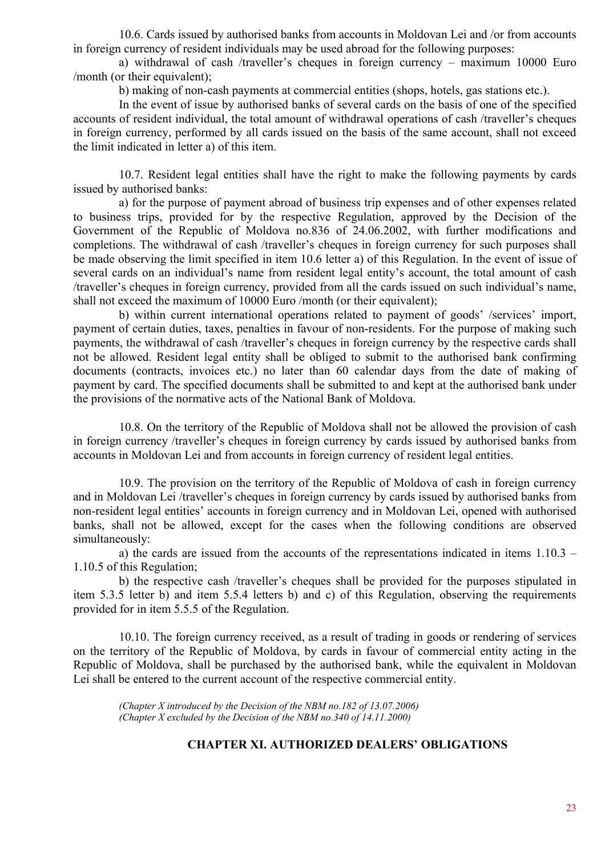10.6. Cards issued by authorised banks from accounts in Moldovan Lei and /or from accounts in foreign currency of resident individuals may be used abroad for the following purposes:

a) withdrawal of cash /traveller's cheques in foreign currency – maximum 10000 Euro /month (or their equivalent);

b) making of non-cash payments at commercial entities (shops, hotels, gas stations etc.).

In the event of issue by authorised banks of several cards on the basis of one of the specified accounts of resident individual, the total amount of withdrawal operations of cash /traveller's cheques in foreign currency, performed by all cards issued on the basis of the same account, shall not exceed the limit indicated in letter a) of this item.

10.7. Resident legal entities shall have the right to make the following payments by cards issued by authorised banks:

a) for the purpose of payment abroad of business trip expenses and of other expenses related to business trips, provided for by the respective Regulation, approved by the Decision of the Government of the Republic of Moldova no.836 of 24.06.2002, with further modifications and completions. The withdrawal of cash /traveller's cheques in foreign currency for such purposes shall be made observing the limit specified in item 10.6 letter a) of this Regulation. In the event of issue of several cards on an individual's name from resident legal entity's account, the total amount of cash /traveller's cheques in foreign currency, provided from all the cards issued on such individual's name, shall not exceed the maximum of 10000 Euro /month (or their equivalent);

b) within current international operations related to payment of goods' /services' import, payment of certain duties, taxes, penalties in favour of non-residents. For the purpose of making such payments, the withdrawal of cash /traveller's cheques in foreign currency by the respective cards shall not be allowed. Resident legal entity shall be obliged to submit to the authorised bank confirming documents (contracts, invoices etc.) no later than 60 calendar days from the date of making of payment by card. The specified documents shall be submitted to and kept at the authorised bank under the provisions of the normative acts of the National Bank of Moldova.

10.8. On the territory of the Republic of Moldova shall not be allowed the provision of cash in foreign currency /traveller's cheques in foreign currency by cards issued by authorised banks from accounts in Moldovan Lei and from accounts in foreign currency of resident legal entities.

10.9. The provision on the territory of the Republic of Moldova of cash in foreign currency and in Moldovan Lei /traveller's cheques in foreign currency by cards issued by authorised banks from non-resident legal entities' accounts in foreign currency and in Moldovan Lei, opened with authorised banks, shall not be allowed, except for the cases when the following conditions are observed simultaneously:

a) the cards are issued from the accounts of the representations indicated in items 1.10.3 – 1.10.5 of this Regulation;

b) the respective cash /traveller's cheques shall be provided for the purposes stipulated in item 5.3.5 letter b) and item 5.5.4 letters b) and c) of this Regulation, observing the requirements provided for in item 5.5.5 of the Regulation.

10.10. The foreign currency received, as a result of trading in goods or rendering of services on the territory of the Republic of Moldova, by cards in favour of commercial entity acting in the Republic of Moldova, shall be purchased by the authorised bank, while the equivalent in Moldovan Lei shall be entered to the current account of the respective commercial entity.

*(Chapter X introduced by the Decision of the NBM no.182 of 13.07.2006) (Chapter X excluded by the Decision of the NBM no.340 of 14.11.2000)*

# **CHAPTER XI. AUTHORIZED DEALERS' OBLIGATIONS**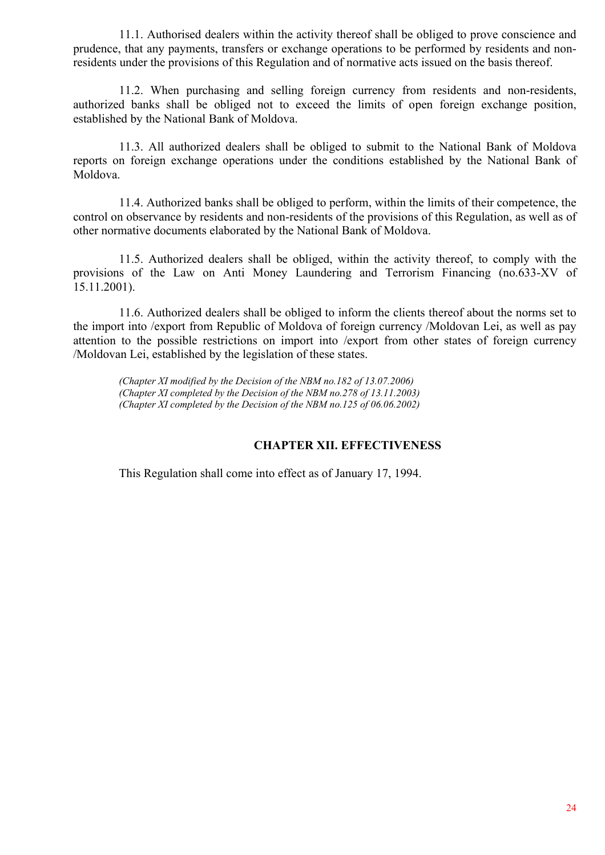11.1. Authorised dealers within the activity thereof shall be obliged to prove conscience and prudence, that any payments, transfers or exchange operations to be performed by residents and nonresidents under the provisions of this Regulation and of normative acts issued on the basis thereof.

11.2. When purchasing and selling foreign currency from residents and non-residents, authorized banks shall be obliged not to exceed the limits of open foreign exchange position, established by the National Bank of Moldova.

11.3. All authorized dealers shall be obliged to submit to the National Bank of Moldova reports on foreign exchange operations under the conditions established by the National Bank of Moldova.

11.4. Authorized banks shall be obliged to perform, within the limits of their competence, the control on observance by residents and non-residents of the provisions of this Regulation, as well as of other normative documents elaborated by the National Bank of Moldova.

11.5. Authorized dealers shall be obliged, within the activity thereof, to comply with the provisions of the Law on Anti Money Laundering and Terrorism Financing (no.633-XV of 15.11.2001).

11.6. Authorized dealers shall be obliged to inform the clients thereof about the norms set to the import into /export from Republic of Moldova of foreign currency /Moldovan Lei, as well as pay attention to the possible restrictions on import into /export from other states of foreign currency /Moldovan Lei, established by the legislation of these states.

*(Chapter XI modified by the Decision of the NBM no.182 of 13.07.2006) (Chapter XI completed by the Decision of the NBM no.278 of 13.11.2003) (Chapter XI completed by the Decision of the NBM no.125 of 06.06.2002)*

# **CHAPTER XII. EFFECTIVENESS**

This Regulation shall come into effect as of January 17, 1994.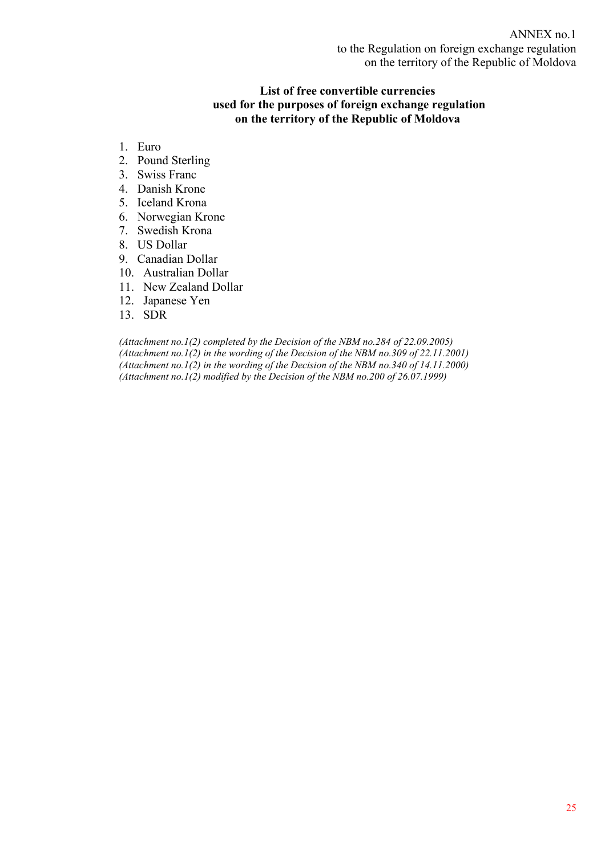# **List of free convertible currencies used for the purposes of foreign exchange regulation on the territory of the Republic of Moldova**

- 1. Euro
- 2. Pound Sterling
- 3. Swiss Franc
- 4. Danish Krone
- 5. Iceland Krona
- 6. Norwegian Krone
- 7. Swedish Krona
- 8. US Dollar
- 9. Canadian Dollar
- 10. Australian Dollar
- 11. New Zealand Dollar
- 12. Japanese Yen
- 13. SDR

*(Attachment no.1(2) completed by the Decision of the NBM no.284 of 22.09.2005) (Attachment no.1(2) in the wording of the Decision of the NBM no.309 of 22.11.2001) (Attachment no.1(2) in the wording of the Decision of the NBM no.340 of 14.11.2000) (Attachment no.1(2) modified by the Decision of the NBM no.200 of 26.07.1999)*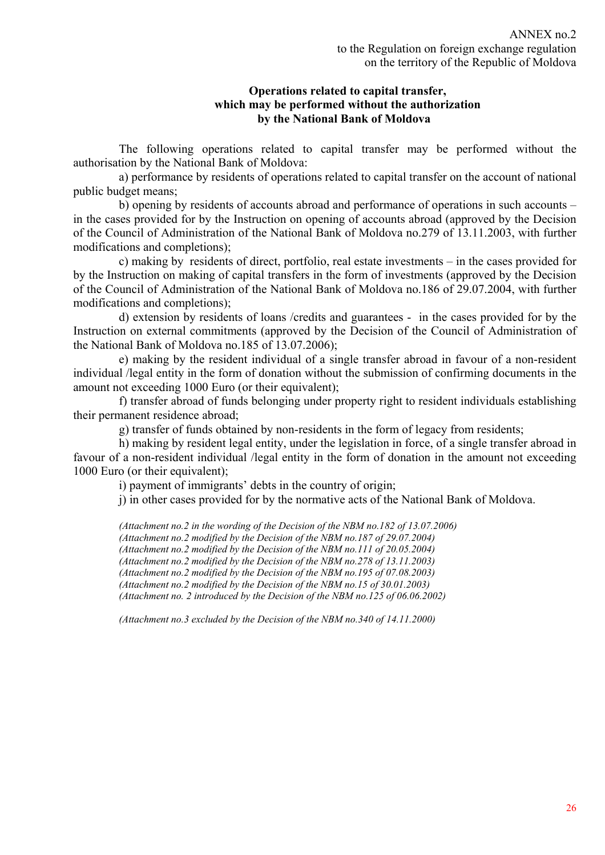# **Operations related to capital transfer, which may be performed without the authorization by the National Bank of Moldova**

The following operations related to capital transfer may be performed without the authorisation by the National Bank of Moldova:

a) performance by residents of operations related to capital transfer on the account of national public budget means;

b) opening by residents of accounts abroad and performance of operations in such accounts – in the cases provided for by the Instruction on opening of accounts abroad (approved by the Decision of the Council of Administration of the National Bank of Moldova no.279 of 13.11.2003, with further modifications and completions);

c) making by residents of direct, portfolio, real estate investments – in the cases provided for by the Instruction on making of capital transfers in the form of investments (approved by the Decision of the Council of Administration of the National Bank of Moldova no.186 of 29.07.2004, with further modifications and completions);

d) extension by residents of loans /credits and guarantees - in the cases provided for by the Instruction on external commitments (approved by the Decision of the Council of Administration of the National Bank of Moldova no.185 of 13.07.2006);

e) making by the resident individual of a single transfer abroad in favour of a non-resident individual /legal entity in the form of donation without the submission of confirming documents in the amount not exceeding 1000 Euro (or their equivalent):

f) transfer abroad of funds belonging under property right to resident individuals establishing their permanent residence abroad;

g) transfer of funds obtained by non-residents in the form of legacy from residents;

h) making by resident legal entity, under the legislation in force, of a single transfer abroad in favour of a non-resident individual /legal entity in the form of donation in the amount not exceeding 1000 Euro (or their equivalent);

i) payment of immigrants' debts in the country of origin;

j) in other cases provided for by the normative acts of the National Bank of Moldova.

*(Attachment no.2 in the wording of the Decision of the NBM no.182 of 13.07.2006) (Attachment no.2 modified by the Decision of the NBM no.187 of 29.07.2004) (Attachment no.2 modified by the Decision of the NBM no.111 of 20.05.2004) (Attachment no.2 modified by the Decision of the NBM no.278 of 13.11.2003) (Attachment no.2 modified by the Decision of the NBM no.195 of 07.08.2003) (Attachment no.2 modified by the Decision of the NBM no.15 of 30.01.2003) (Attachment no. 2 introduced by the Decision of the NBM no.125 of 06.06.2002)* 

*(Attachment no.3 excluded by the Decision of the NBM no.340 of 14.11.2000)*